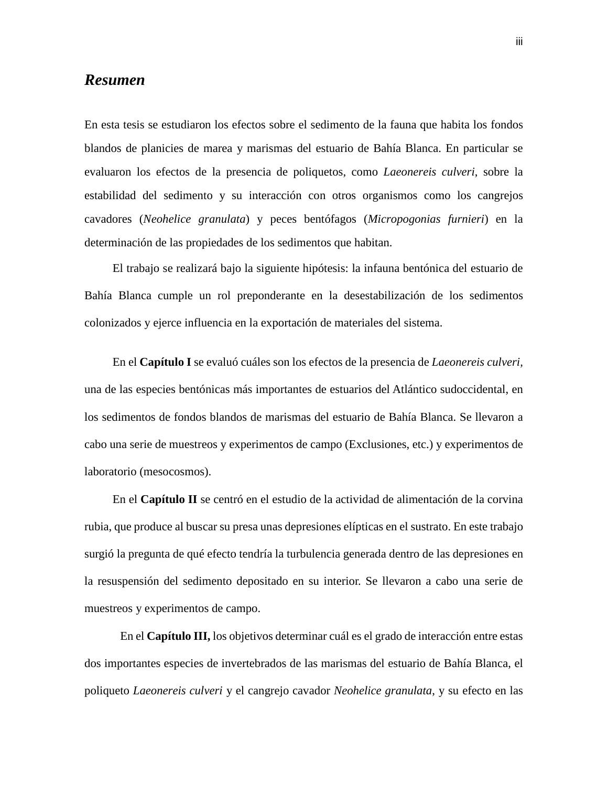## *Resumen*

En esta tesis se estudiaron los efectos sobre el sedimento de la fauna que habita los fondos blandos de planicies de marea y marismas del estuario de Bahía Blanca. En particular se evaluaron los efectos de la presencia de poliquetos, como *Laeonereis culveri*, sobre la estabilidad del sedimento y su interacción con otros organismos como los cangrejos cavadores (*Neohelice granulata*) y peces bentófagos (*Micropogonias furnieri*) en la determinación de las propiedades de los sedimentos que habitan.

El trabajo se realizará bajo la siguiente hipótesis: la infauna bentónica del estuario de Bahía Blanca cumple un rol preponderante en la desestabilización de los sedimentos colonizados y ejerce influencia en la exportación de materiales del sistema.

En el **Capítulo I** se evaluó cuáles son los efectos de la presencia de *Laeonereis culveri,*  una de las especies bentónicas más importantes de estuarios del Atlántico sudoccidental, en los sedimentos de fondos blandos de marismas del estuario de Bahía Blanca. Se llevaron a cabo una serie de muestreos y experimentos de campo (Exclusiones, etc.) y experimentos de laboratorio (mesocosmos).

En el **Capítulo II** se centró en el estudio de la actividad de alimentación de la corvina rubia, que produce al buscar su presa unas depresiones elípticas en el sustrato. En este trabajo surgió la pregunta de qué efecto tendría la turbulencia generada dentro de las depresiones en la resuspensión del sedimento depositado en su interior. Se llevaron a cabo una serie de muestreos y experimentos de campo.

En el **Capítulo III,** los objetivos determinar cuál es el grado de interacción entre estas dos importantes especies de invertebrados de las marismas del estuario de Bahía Blanca, el poliqueto *Laeonereis culveri* y el cangrejo cavador *Neohelice granulata*, y su efecto en las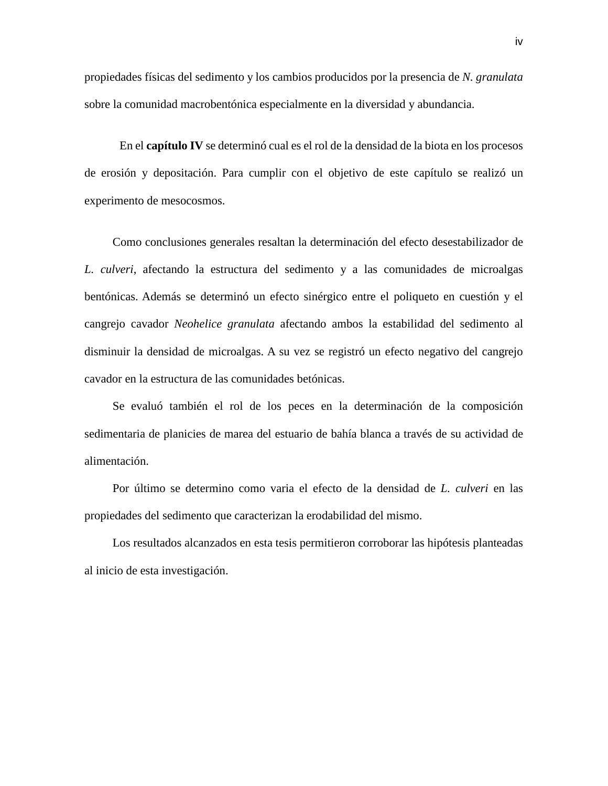propiedades físicas del sedimento y los cambios producidos por la presencia de *N. granulata* sobre la comunidad macrobentónica especialmente en la diversidad y abundancia.

En el **capítulo IV** se determinó cual es el rol de la densidad de la biota en los procesos de erosión y depositación. Para cumplir con el objetivo de este capítulo se realizó un experimento de mesocosmos.

Como conclusiones generales resaltan la determinación del efecto desestabilizador de *L. culveri*, afectando la estructura del sedimento y a las comunidades de microalgas bentónicas. Además se determinó un efecto sinérgico entre el poliqueto en cuestión y el cangrejo cavador *Neohelice granulata* afectando ambos la estabilidad del sedimento al disminuir la densidad de microalgas. A su vez se registró un efecto negativo del cangrejo cavador en la estructura de las comunidades betónicas.

Se evaluó también el rol de los peces en la determinación de la composición sedimentaria de planicies de marea del estuario de bahía blanca a través de su actividad de alimentación.

Por último se determino como varia el efecto de la densidad de *L. culveri* en las propiedades del sedimento que caracterizan la erodabilidad del mismo.

Los resultados alcanzados en esta tesis permitieron corroborar las hipótesis planteadas al inicio de esta investigación.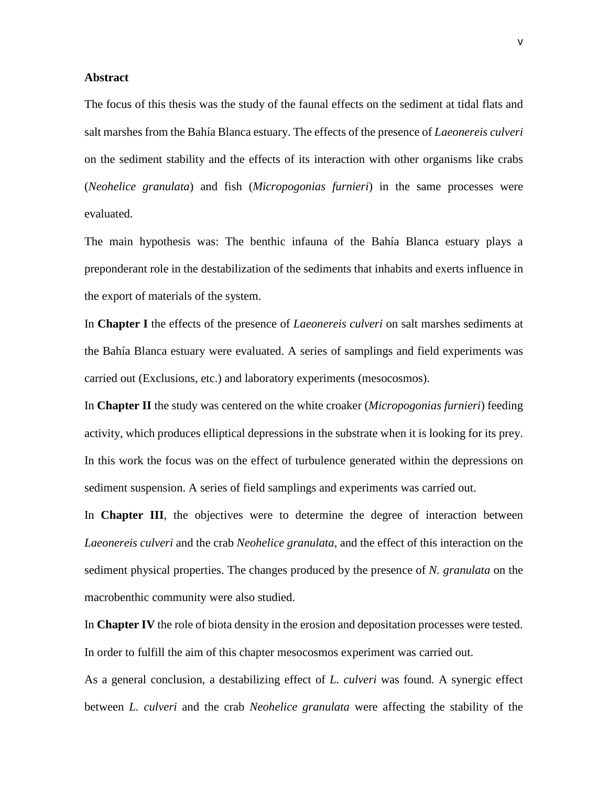## **Abstract**

The focus of this thesis was the study of the faunal effects on the sediment at tidal flats and salt marshes from the Bahía Blanca estuary. The effects of the presence of *Laeonereis culveri* on the sediment stability and the effects of its interaction with other organisms like crabs (*Neohelice granulata*) and fish (*Micropogonias furnieri*) in the same processes were evaluated.

The main hypothesis was: The benthic infauna of the Bahía Blanca estuary plays a preponderant role in the destabilization of the sediments that inhabits and exerts influence in the export of materials of the system.

In **Chapter I** the effects of the presence of *Laeonereis culveri* on salt marshes sediments at the Bahía Blanca estuary were evaluated. A series of samplings and field experiments was carried out (Exclusions, etc.) and laboratory experiments (mesocosmos).

In **Chapter II** the study was centered on the white croaker (*Micropogonias furnieri*) feeding activity, which produces elliptical depressions in the substrate when it is looking for its prey. In this work the focus was on the effect of turbulence generated within the depressions on sediment suspension. A series of field samplings and experiments was carried out.

In **Chapter III**, the objectives were to determine the degree of interaction between *Laeonereis culveri* and the crab *Neohelice granulata*, and the effect of this interaction on the sediment physical properties. The changes produced by the presence of *N. granulata* on the macrobenthic community were also studied.

In **Chapter IV** the role of biota density in the erosion and depositation processes were tested. In order to fulfill the aim of this chapter mesocosmos experiment was carried out.

As a general conclusion, a destabilizing effect of *L. culveri* was found. A synergic effect between *L. culveri* and the crab *Neohelice granulata* were affecting the stability of the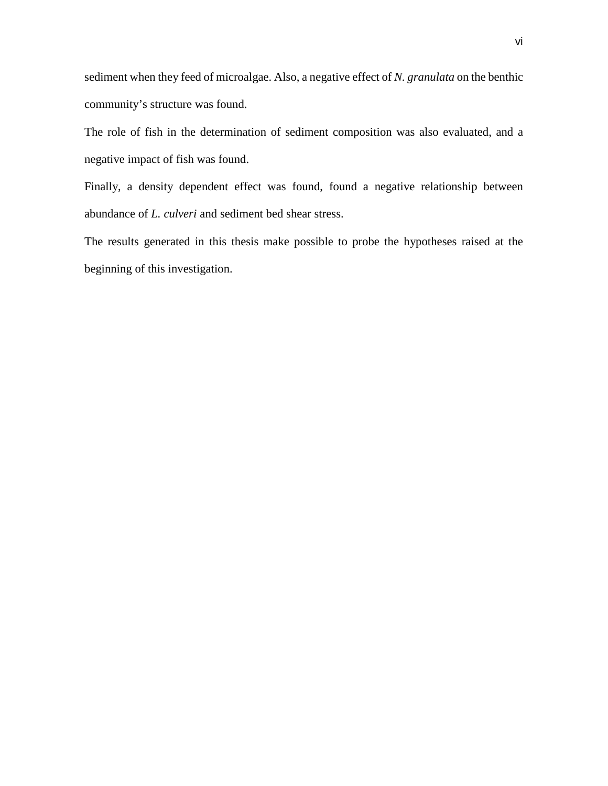sediment when they feed of microalgae. Also, a negative effect of *N. granulata* on the benthic community's structure was found.

The role of fish in the determination of sediment composition was also evaluated, and a negative impact of fish was found.

Finally, a density dependent effect was found, found a negative relationship between abundance of *L. culveri* and sediment bed shear stress.

The results generated in this thesis make possible to probe the hypotheses raised at the beginning of this investigation.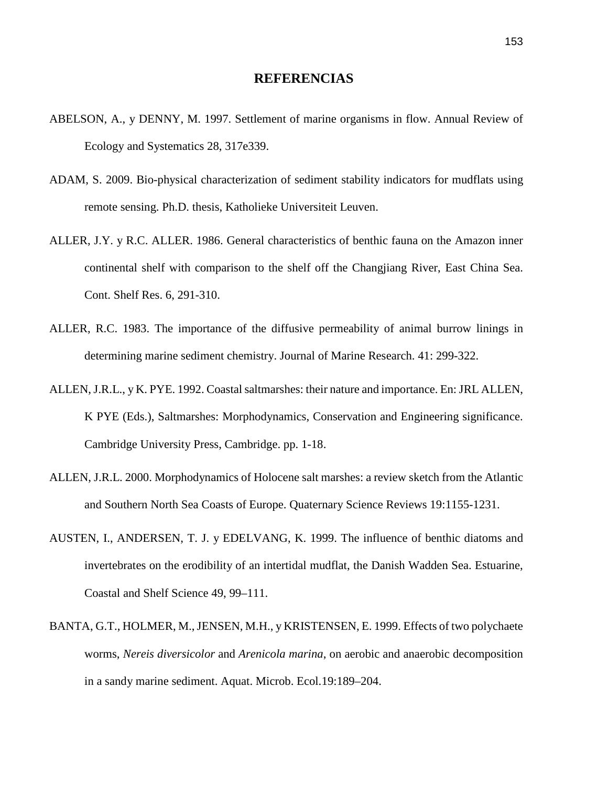## **REFERENCIAS**

- ABELSON, A., y DENNY, M. 1997. Settlement of marine organisms in flow. Annual Review of Ecology and Systematics 28, 317e339.
- ADAM, S. 2009. Bio-physical characterization of sediment stability indicators for mudflats using remote sensing. Ph.D. thesis, Katholieke Universiteit Leuven.
- ALLER, J.Y. y R.C. ALLER. 1986. General characteristics of benthic fauna on the Amazon inner continental shelf with comparison to the shelf off the Changjiang River, East China Sea. Cont. Shelf Res. 6, 291-310.
- ALLER, R.C. 1983. The importance of the diffusive permeability of animal burrow linings in determining marine sediment chemistry. Journal of Marine Research. 41: 299-322.
- ALLEN,J.R.L., y K. PYE. 1992. Coastal saltmarshes: their nature and importance. En: JRL ALLEN, K PYE (Eds.), Saltmarshes: Morphodynamics, Conservation and Engineering significance. Cambridge University Press, Cambridge. pp. 1-18.
- ALLEN, J.R.L. 2000. Morphodynamics of Holocene salt marshes: a review sketch from the Atlantic and Southern North Sea Coasts of Europe. Quaternary Science Reviews 19:1155-1231.
- AUSTEN, I., ANDERSEN, T. J. y EDELVANG, K. 1999. The influence of benthic diatoms and invertebrates on the erodibility of an intertidal mudflat, the Danish Wadden Sea. Estuarine, Coastal and Shelf Science 49, 99–111.
- BANTA, G.T., HOLMER, M., JENSEN, M.H., y KRISTENSEN, E. 1999. Effects of two polychaete worms, *Nereis diversicolor* and *Arenicola marina*, on aerobic and anaerobic decomposition in a sandy marine sediment. Aquat. Microb. Ecol.19:189–204.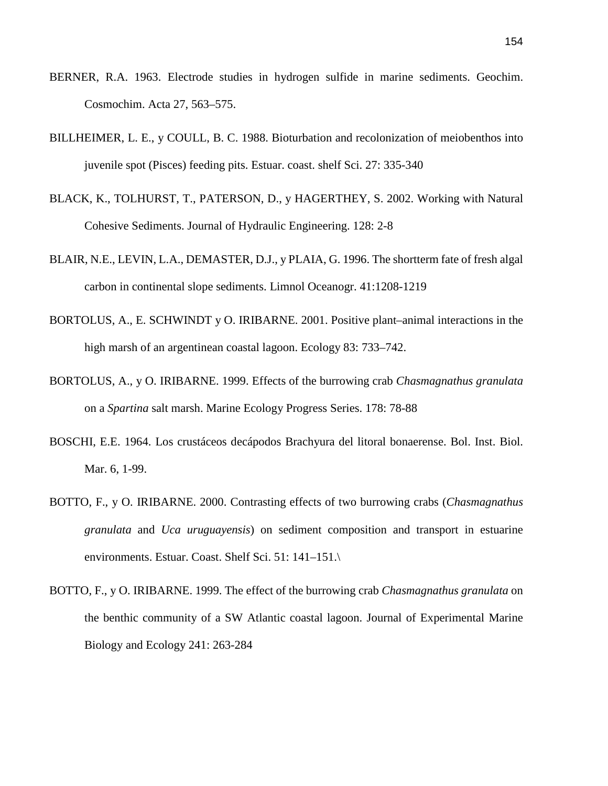- BERNER, R.A. 1963. Electrode studies in hydrogen sulfide in marine sediments. Geochim. Cosmochim. Acta 27, 563–575.
- BILLHEIMER, L. E., y COULL, B. C. 1988. Bioturbation and recolonization of meiobenthos into juvenile spot (Pisces) feeding pits. Estuar. coast. shelf Sci. 27: 335-340
- BLACK, K., TOLHURST, T., PATERSON, D., y HAGERTHEY, S. 2002. [Working with Natural](http://ascelibrary.org/doi/abs/10.1061/%28ASCE%290733-9429%282002%29128%3A1%282%29)  [Cohesive Sediments.](http://ascelibrary.org/doi/abs/10.1061/%28ASCE%290733-9429%282002%29128%3A1%282%29) Journal of Hydraulic Engineering. 128: 2-8
- BLAIR, N.E., LEVIN, L.A., DEMASTER, D.J., y PLAIA, G. 1996. The shortterm fate of fresh algal carbon in continental slope sediments. Limnol Oceanogr. 41:1208-1219
- BORTOLUS, A., E. SCHWINDT y O. IRIBARNE. 2001. Positive plant–animal interactions in the high marsh of an argentinean coastal lagoon. Ecology 83: 733–742.
- BORTOLUS, A., y O. IRIBARNE. 1999. Effects of the burrowing crab *Chasmagnathus granulata* on a *Spartina* salt marsh. Marine Ecology Progress Series. 178: 78-88
- BOSCHI, E.E. 1964. Los crustáceos decápodos Brachyura del litoral bonaerense. Bol. Inst. Biol. Mar. 6, 1-99.
- BOTTO, F., y O. IRIBARNE. 2000. Contrasting effects of two burrowing crabs (*Chasmagnathus granulata* and *Uca uruguayensis*) on sediment composition and transport in estuarine environments. Estuar. Coast. Shelf Sci. 51: 141–151.\
- BOTTO, F., y O. IRIBARNE. 1999. The effect of the burrowing crab *Chasmagnathus granulata* on the benthic community of a SW Atlantic coastal lagoon. Journal of Experimental Marine Biology and Ecology 241: 263-284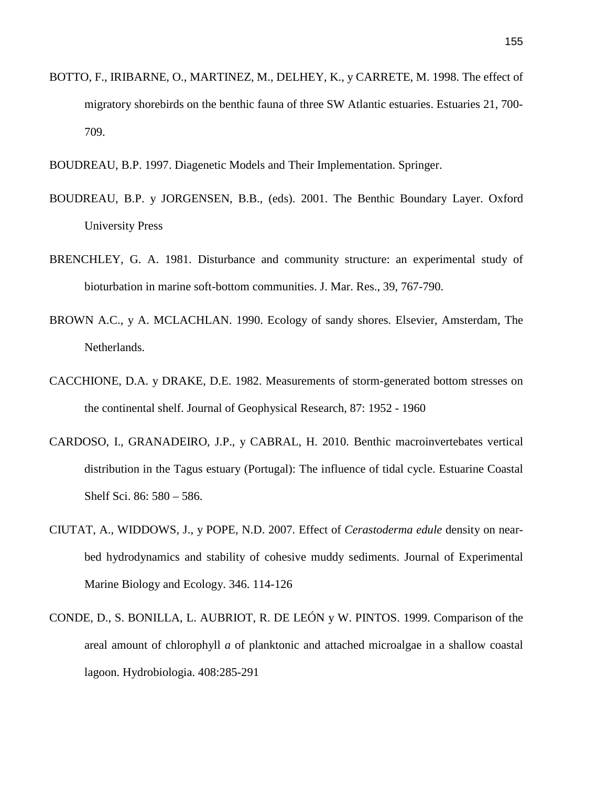- BOTTO, F., IRIBARNE, O., MARTINEZ, M., DELHEY, K., y CARRETE, M. 1998. The effect of migratory shorebirds on the benthic fauna of three SW Atlantic estuaries. Estuaries 21, 700- 709.
- BOUDREAU, B.P. 1997. Diagenetic Models and Their Implementation. Springer.
- BOUDREAU, B.P. y JORGENSEN, B.B., (eds). 2001. The Benthic Boundary Layer. Oxford University Press
- BRENCHLEY, G. A. 1981. Disturbance and community structure: an experimental study of bioturbation in marine soft-bottom communities. J. Mar. Res., 39, 767-790.
- BROWN A.C., y A. MCLACHLAN. 1990. Ecology of sandy shores. Elsevier, Amsterdam, The Netherlands.
- CACCHIONE, D.A. y DRAKE, D.E. 1982. Measurements of storm-generated bottom stresses on the continental shelf. Journal of Geophysical Research, 87: 1952 - 1960
- CARDOSO, I., GRANADEIRO, J.P., y CABRAL, H. 2010. Benthic macroinvertebates vertical distribution in the Tagus estuary (Portugal): The influence of tidal cycle. Estuarine Coastal Shelf Sci. 86: 580 – 586.
- CIUTAT, A., WIDDOWS, J., y POPE, N.D. 2007. Effect of *Cerastoderma edule* density on nearbed hydrodynamics and stability of cohesive muddy sediments. Journal of Experimental Marine Biology and Ecology. 346. 114-126
- CONDE, D., S. BONILLA, L. AUBRIOT, R. DE LEÓN y W. PINTOS. 1999. Comparison of the areal amount of chlorophyll *a* of planktonic and attached microalgae in a shallow coastal lagoon. Hydrobiologia. 408:285-291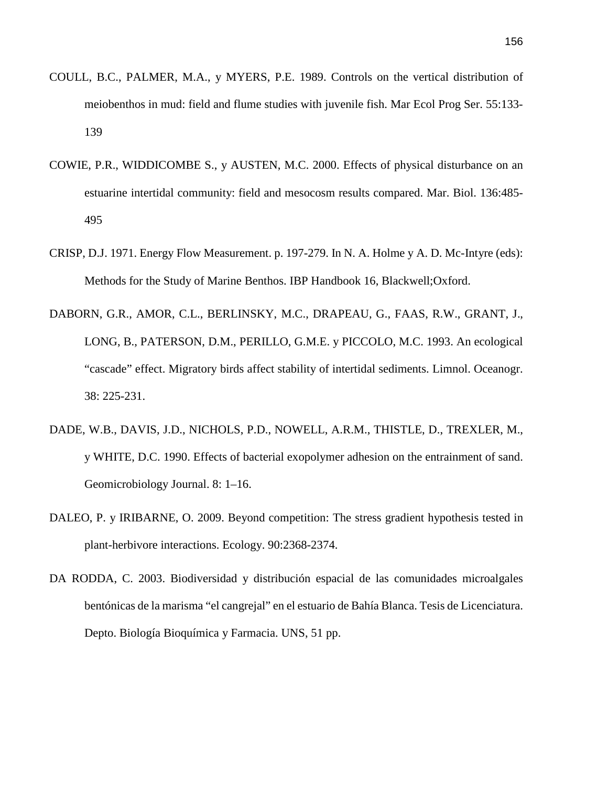- COULL, B.C., PALMER, M.A., y MYERS, P.E. 1989. Controls on the vertical distribution of meiobenthos in mud: field and flume studies with juvenile fish. Mar Ecol Prog Ser. 55:133- 139
- COWIE, P.R., WIDDICOMBE S., y AUSTEN, M.C. 2000. Effects of physical disturbance on an estuarine intertidal community: field and mesocosm results compared. Mar. Biol. 136:485- 495
- CRISP, D.J. 1971. Energy Flow Measurement. p. 197-279. In N. A. Holme y A. D. Mc-Intyre (eds): Methods for the Study of Marine Benthos. IBP Handbook 16, Blackwell;Oxford.
- DABORN, G.R., AMOR, C.L., BERLINSKY, M.C., DRAPEAU, G., FAAS, R.W., GRANT, J., LONG, B., PATERSON, D.M., PERILLO, G.M.E. y PICCOLO, M.C. 1993. An ecological "cascade" effect. Migratory birds affect stability of intertidal sediments. Limnol. Oceanogr. 38: 225-231.
- DADE, W.B., DAVIS, J.D., NICHOLS, P.D., NOWELL, A.R.M., THISTLE, D., TREXLER, M., y WHITE, D.C. 1990. Effects of bacterial exopolymer adhesion on the entrainment of sand. Geomicrobiology Journal. 8: 1–16.
- DALEO, P. y IRIBARNE, O. 2009. Beyond competition: The stress gradient hypothesis tested in plant-herbivore interactions. Ecology. 90:2368-2374.
- DA RODDA, C. 2003. Biodiversidad y distribución espacial de las comunidades microalgales bentónicas de la marisma "el cangrejal" en el estuario de Bahía Blanca. Tesis de Licenciatura. Depto. Biología Bioquímica y Farmacia. UNS, 51 pp.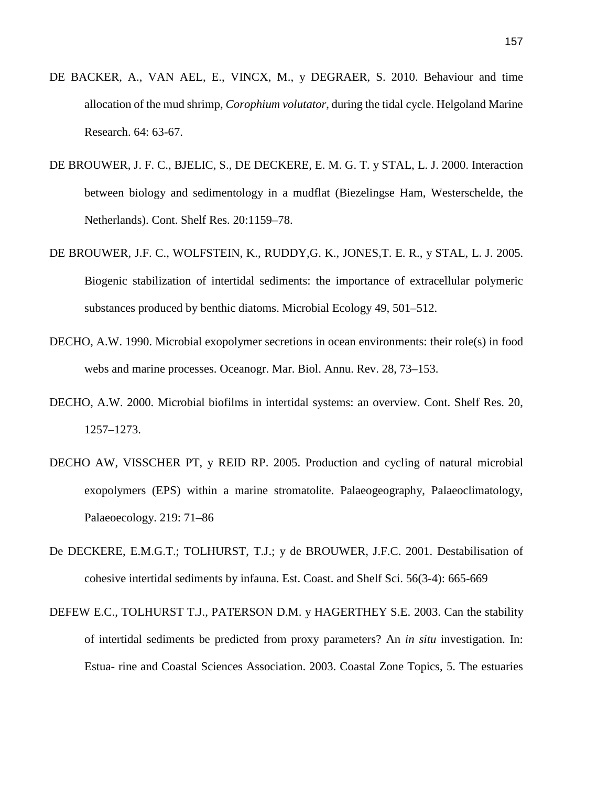- DE BACKER, A., VAN AEL, E., VINCX, M., y DEGRAER, S. 2010. Behaviour and time allocation of the mud shrimp, *Corophium volutator*, during the tidal cycle. Helgoland Marine Research. 64: 63-67.
- DE BROUWER, J. F. C., BJELIC, S., DE DECKERE, E. M. G. T. y STAL, L. J. 2000. Interaction between biology and sedimentology in a mudflat (Biezelingse Ham, Westerschelde, the Netherlands). Cont. Shelf Res. 20:1159–78.
- DE BROUWER, J.F. C., WOLFSTEIN, K., RUDDY,G. K., JONES,T. E. R., y STAL, L. J. 2005. Biogenic stabilization of intertidal sediments: the importance of extracellular polymeric substances produced by benthic diatoms. Microbial Ecology 49, 501–512.
- DECHO, A.W. 1990. Microbial exopolymer secretions in ocean environments: their role(s) in food webs and marine processes. Oceanogr. Mar. Biol. Annu. Rev. 28, 73–153.
- DECHO, A.W. 2000. Microbial biofilms in intertidal systems: an overview. Cont. Shelf Res. 20, 1257–1273.
- DECHO AW, VISSCHER PT, y REID RP. 2005. Production and cycling of natural microbial exopolymers (EPS) within a marine stromatolite. Palaeogeography, Palaeoclimatology, Palaeoecology. 219: 71–86
- De DECKERE, E.M.G.T.; TOLHURST, T.J.; y de BROUWER, J.F.C. 2001. Destabilisation of cohesive intertidal sediments by infauna. Est. Coast. and Shelf Sci. 56(3-4): 665-669
- DEFEW E.C., TOLHURST T.J., PATERSON D.M. y HAGERTHEY S.E. 2003. Can the stability of intertidal sediments be predicted from proxy parameters? An *in situ* investigation. In: Estua- rine and Coastal Sciences Association. 2003. Coastal Zone Topics, 5. The estuaries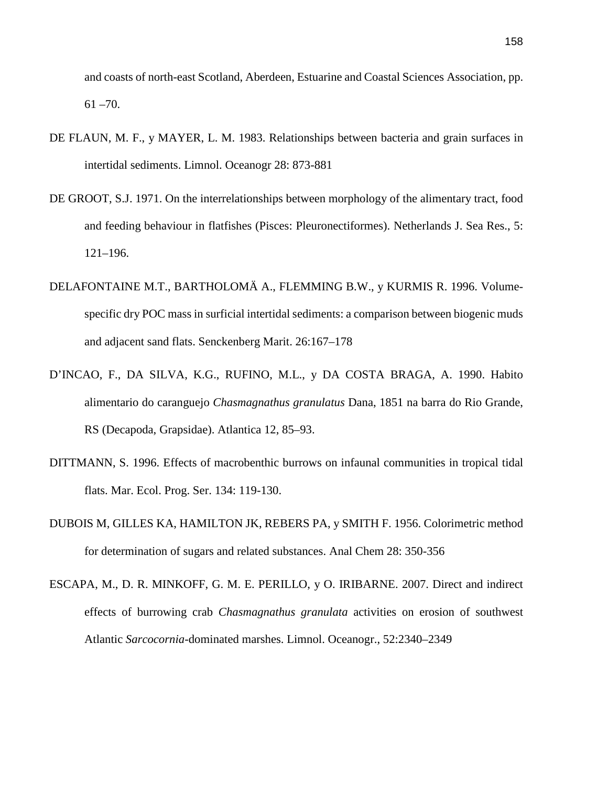and coasts of north-east Scotland, Aberdeen, Estuarine and Coastal Sciences Association, pp.  $61 - 70.$ 

- DE FLAUN, M. F., y MAYER, L. M. 1983. Relationships between bacteria and grain surfaces in intertidal sediments. Limnol. Oceanogr 28: 873-881
- DE GROOT, S.J. 1971. On the interrelationships between morphology of the alimentary tract, food and feeding behaviour in flatfishes (Pisces: Pleuronectiformes). Netherlands J. Sea Res., 5: 121–196.
- DELAFONTAINE M.T., BARTHOLOMÄ A., FLEMMING B.W., y KURMIS R. 1996. Volumespecific dry POC mass in surficial intertidal sediments: a comparison between biogenic muds and adjacent sand flats. Senckenberg Marit. 26:167–178
- D'INCAO, F., DA SILVA, K.G., RUFINO, M.L., y DA COSTA BRAGA, A. 1990. Habito alimentario do caranguejo *Chasmagnathus granulatus* Dana, 1851 na barra do Rio Grande, RS (Decapoda, Grapsidae). Atlantica 12, 85–93.
- DITTMANN, S. 1996. Effects of macrobenthic burrows on infaunal communities in tropical tidal flats. Mar. Ecol. Prog. Ser. 134: 119-130.
- DUBOIS M, GILLES KA, HAMILTON JK, REBERS PA, y SMITH F. 1956. Colorimetric method for determination of sugars and related substances. Anal Chem 28: 350-356
- ESCAPA, M., D. R. MINKOFF, G. M. E. PERILLO, y O. IRIBARNE. 2007. Direct and indirect effects of burrowing crab *Chasmagnathus granulata* activities on erosion of southwest Atlantic *Sarcocornia*-dominated marshes. Limnol. Oceanogr., 52:2340–2349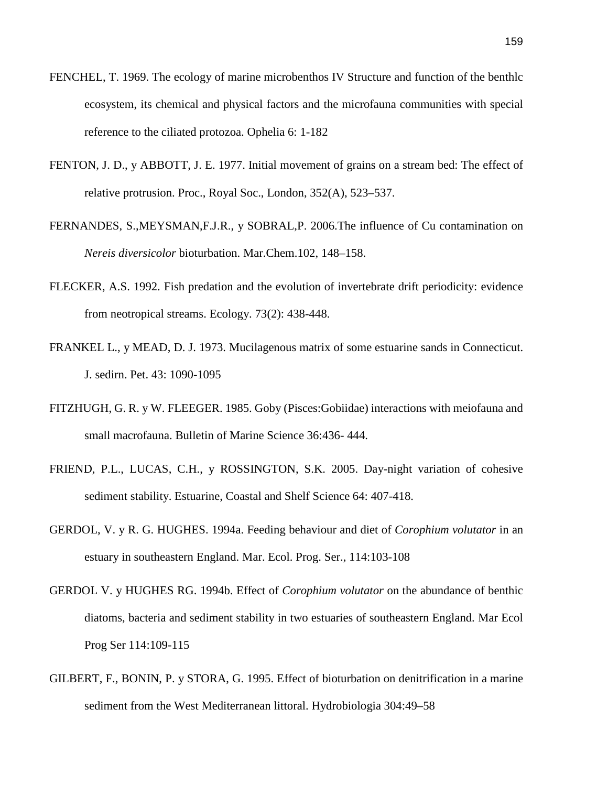- FENCHEL, T. 1969. The ecology of marine microbenthos IV Structure and function of the benthlc ecosystem, its chemical and physical factors and the microfauna communities with special reference to the ciliated protozoa. Ophelia 6: 1-182
- FENTON, J. D., y ABBOTT, J. E. 1977. Initial movement of grains on a stream bed: The effect of relative protrusion. Proc., Royal Soc., London, 352(A), 523–537.
- FERNANDES, S.,MEYSMAN,F.J.R., y SOBRAL,P. 2006.The influence of Cu contamination on *Nereis diversicolor* bioturbation. Mar.Chem.102, 148–158.
- FLECKER, A.S. 1992. Fish predation and the evolution of invertebrate drift periodicity: evidence from neotropical streams. Ecology. 73(2): 438-448.
- FRANKEL L., y MEAD, D. J. 1973. Mucilagenous matrix of some estuarine sands in Connecticut. J. sedirn. Pet. 43: 1090-1095
- FITZHUGH, G. R. y W. FLEEGER. 1985. Goby (Pisces:Gobiidae) interactions with meiofauna and small macrofauna. Bulletin of Marine Science 36:436- 444.
- FRIEND, P.L., LUCAS, C.H., y ROSSINGTON, S.K. 2005. Day-night variation of cohesive sediment stability. Estuarine, Coastal and Shelf Science 64: 407-418.
- GERDOL, V. y R. G. HUGHES. 1994a. Feeding behaviour and diet of *Corophium volutator* in an estuary in southeastern England. Mar. Ecol. Prog. Ser., 114:103-108
- GERDOL V. y HUGHES RG. 1994b. Effect of *Corophium volutator* on the abundance of benthic diatoms, bacteria and sediment stability in two estuaries of southeastern England. Mar Ecol Prog Ser 114:109-115
- GILBERT, F., BONIN, P. y STORA, G. 1995. Effect of bioturbation on denitrification in a marine sediment from the West Mediterranean littoral. Hydrobiologia 304:49–58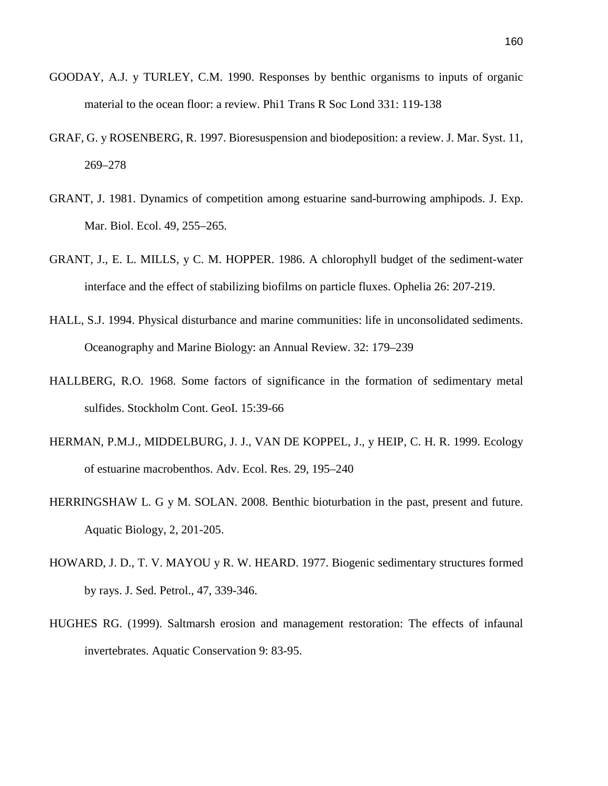- GOODAY, A.J. y TURLEY, C.M. 1990. Responses by benthic organisms to inputs of organic material to the ocean floor: a review. Phi1 Trans R Soc Lond 331: 119-138
- GRAF, G. y ROSENBERG, R. 1997. Bioresuspension and biodeposition: a review. J. Mar. Syst. 11, 269–278
- GRANT, J. 1981. Dynamics of competition among estuarine sand-burrowing amphipods. J. Exp. Mar. Biol. Ecol. 49, 255–265.
- GRANT, J., E. L. MILLS, y C. M. HOPPER. 1986. A chlorophyll budget of the sediment-water interface and the effect of stabilizing biofilms on particle fluxes. Ophelia 26: 207-219.
- HALL, S.J. 1994. Physical disturbance and marine communities: life in unconsolidated sediments. Oceanography and Marine Biology: an Annual Review. 32: 179–239
- HALLBERG, R.O. 1968. Some factors of significance in the formation of sedimentary metal sulfides. Stockholm Cont. GeoI. 15:39-66
- HERMAN, P.M.J., MIDDELBURG, J. J., VAN DE KOPPEL, J., y HEIP, C. H. R. 1999. Ecology of estuarine macrobenthos. Adv. Ecol. Res. 29, 195–240
- HERRINGSHAW L. G y M. SOLAN. 2008. Benthic bioturbation in the past, present and future. Aquatic Biology, 2, 201-205.
- HOWARD, J. D., T. V. MAYOU y R. W. HEARD. 1977. Biogenic sedimentary structures formed by rays. J. Sed. Petrol., 47, 339-346.
- HUGHES RG. (1999). Saltmarsh erosion and management restoration: The effects of infaunal invertebrates. Aquatic Conservation 9: 83-95.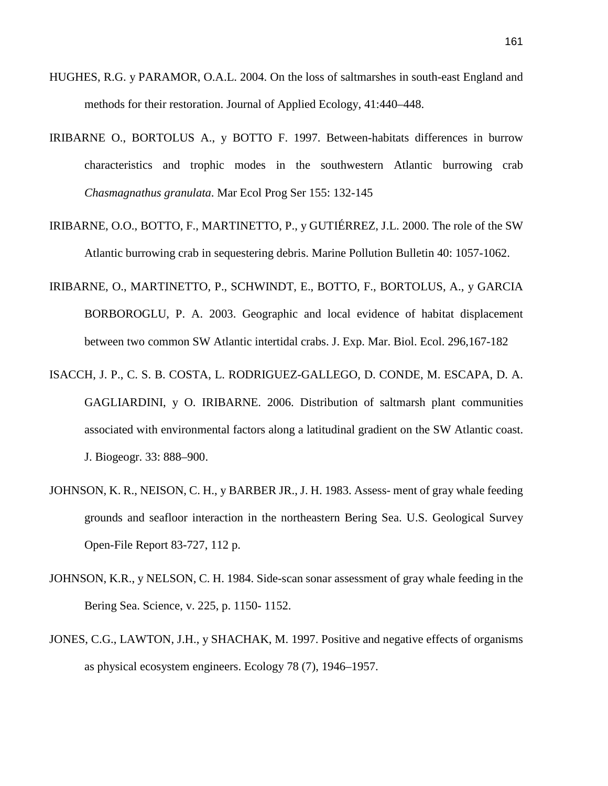- HUGHES, R.G. y PARAMOR, O.A.L. 2004. On the loss of saltmarshes in south-east England and methods for their restoration. Journal of Applied Ecology, 41:440–448.
- IRIBARNE O., BORTOLUS A., y BOTTO F. 1997. Between-habitats differences in burrow characteristics and trophic modes in the southwestern Atlantic burrowing crab *Chasmagnathus granulata*. Mar Ecol Prog Ser 155: 132-145
- IRIBARNE, O.O., BOTTO, F., MARTINETTO, P., y GUTIÉRREZ, J.L. 2000. The role of the SW Atlantic burrowing crab in sequestering debris. Marine Pollution Bulletin 40: 1057-1062.
- IRIBARNE, O., MARTINETTO, P., SCHWINDT, E., BOTTO, F., BORTOLUS, A., y GARCIA BORBOROGLU, P. A. 2003. Geographic and local evidence of habitat displacement between two common SW Atlantic intertidal crabs. J. Exp. Mar. Biol. Ecol. 296,167-182
- ISACCH, J. P., C. S. B. COSTA, L. RODRIGUEZ-GALLEGO, D. CONDE, M. ESCAPA, D. A. GAGLIARDINI, y O. IRIBARNE. 2006. Distribution of saltmarsh plant communities associated with environmental factors along a latitudinal gradient on the SW Atlantic coast. J. Biogeogr. 33: 888–900.
- JOHNSON, K. R., NEISON, C. H., y BARBER JR., J. H. 1983. Assess- ment of gray whale feeding grounds and seafloor interaction in the northeastern Bering Sea. U.S. Geological Survey Open-File Report 83-727, 112 p.
- JOHNSON, K.R., y NELSON, C. H. 1984. Side-scan sonar assessment of gray whale feeding in the Bering Sea. Science, v. 225, p. 1150- 1152.
- JONES, C.G., LAWTON, J.H., y SHACHAK, M. 1997. Positive and negative effects of organisms as physical ecosystem engineers. Ecology 78 (7), 1946–1957.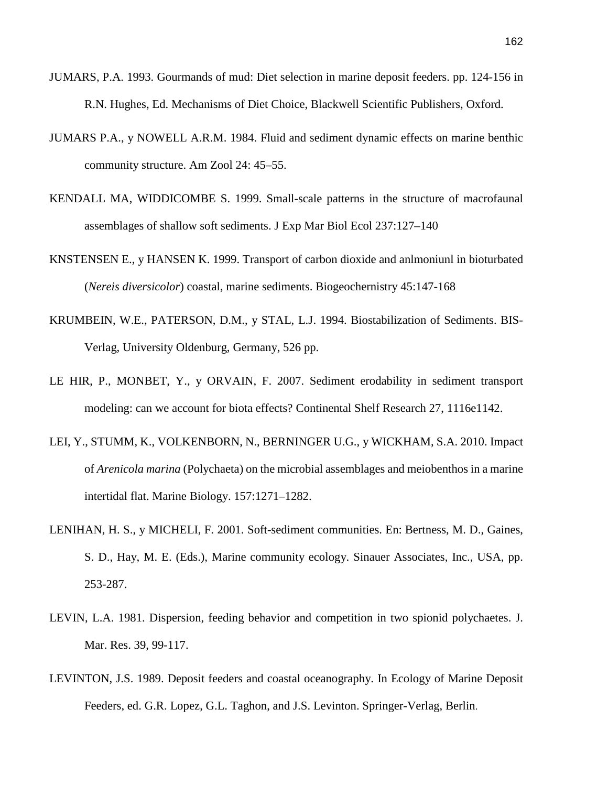- JUMARS, P.A. 1993. Gourmands of mud: Diet selection in marine deposit feeders. pp. 124-156 in R.N. Hughes, Ed. Mechanisms of Diet Choice, Blackwell Scientific Publishers, Oxford.
- JUMARS P.A., y NOWELL A.R.M. 1984. Fluid and sediment dynamic effects on marine benthic community structure. Am Zool 24: 45–55.
- KENDALL MA, WIDDICOMBE S. 1999. Small-scale patterns in the structure of macrofaunal assemblages of shallow soft sediments. J Exp Mar Biol Ecol 237:127–140
- KNSTENSEN E., y HANSEN K. 1999. Transport of carbon dioxide and anlmoniunl in bioturbated (*Nereis diversicolor*) coastal, marine sediments. Biogeochernistry 45:147-168
- KRUMBEIN, W.E., PATERSON, D.M., y STAL, L.J. 1994. Biostabilization of Sediments. BIS-Verlag, University Oldenburg, Germany, 526 pp.
- LE HIR, P., MONBET, Y., y ORVAIN, F. 2007. Sediment erodability in sediment transport modeling: can we account for biota effects? Continental Shelf Research 27, 1116e1142.
- LEI, Y., STUMM, K., VOLKENBORN, N., BERNINGER U.G., y WICKHAM, S.A. 2010. Impact of *Arenicola marina* (Polychaeta) on the microbial assemblages and meiobenthos in a marine intertidal flat. Marine Biology. 157:1271–1282.
- LENIHAN, H. S., y MICHELI, F. 2001. Soft-sediment communities. En: Bertness, M. D., Gaines, S. D., Hay, M. E. (Eds.), Marine community ecology. Sinauer Associates, Inc., USA, pp. 253-287.
- LEVIN, L.A. 1981. Dispersion, feeding behavior and competition in two spionid polychaetes. J. Mar. Res. 39, 99-117.
- LEVINTON, J.S. 1989. Deposit feeders and coastal oceanography. In Ecology of Marine Deposit Feeders, ed. G.R. Lopez, G.L. Taghon, and J.S. Levinton. Springer-Verlag, Berlin.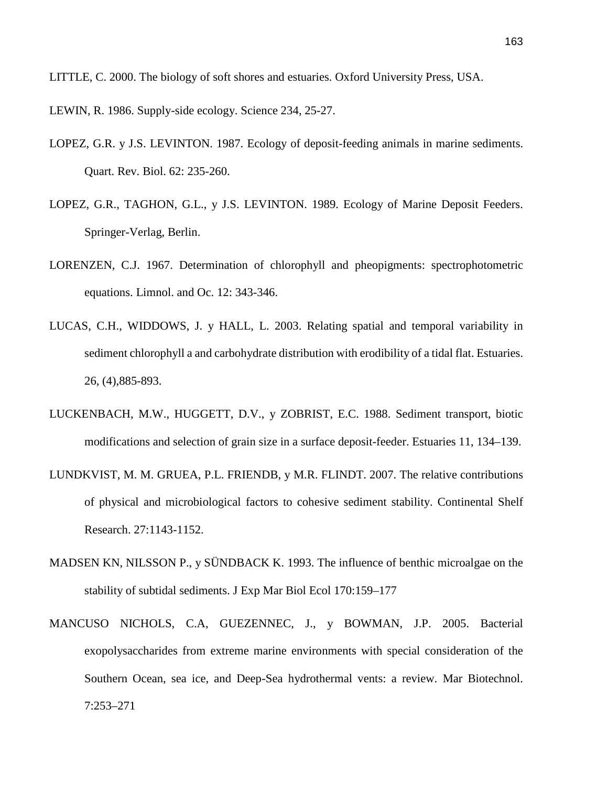LITTLE, C. 2000. The biology of soft shores and estuaries. Oxford University Press, USA.

- LEWIN, R. 1986. Supply-side ecology. Science 234, 25-27.
- LOPEZ, G.R. y J.S. LEVINTON. 1987. Ecology of deposit-feeding animals in marine sediments. Quart. Rev. Biol. 62: 235-260.
- LOPEZ, G.R., TAGHON, G.L., y J.S. LEVINTON. 1989. Ecology of Marine Deposit Feeders. Springer-Verlag, Berlin.
- LORENZEN, C.J. 1967. Determination of chlorophyll and pheopigments: spectrophotometric equations. Limnol. and Oc. 12: 343-346.
- LUCAS, C.H., WIDDOWS, J. y HALL, L. 2003. [Relating spatial and temporal variability in](http://eprints.soton.ac.uk/1348/)  [sediment chlorophyll a and carbohydrate distribution with erodibility of a tidal flat.](http://eprints.soton.ac.uk/1348/) Estuaries. 26, (4),885-893.
- LUCKENBACH, M.W., HUGGETT, D.V., y ZOBRIST, E.C. 1988. Sediment transport, biotic modifications and selection of grain size in a surface deposit-feeder. Estuaries 11, 134–139.
- LUNDKVIST, M. M. GRUEA, P.L. FRIENDB, y M.R. FLINDT. 2007. The relative contributions of physical and microbiological factors to cohesive sediment stability. Continental Shelf Research. 27:1143-1152.
- MADSEN KN, NILSSON P., y SÜNDBACK K. 1993. The influence of benthic microalgae on the stability of subtidal sediments. J Exp Mar Biol Ecol 170:159–177
- MANCUSO NICHOLS, C.A, GUEZENNEC, J., y BOWMAN, J.P. 2005. Bacterial exopolysaccharides from extreme marine environments with special consideration of the Southern Ocean, sea ice, and Deep-Sea hydrothermal vents: a review. Mar Biotechnol. 7:253–271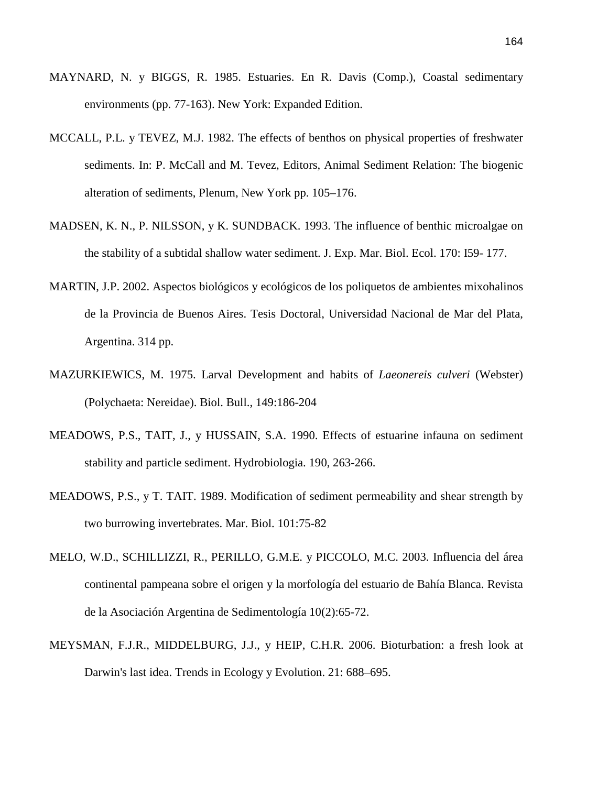- MAYNARD, N. y BIGGS, R. 1985. Estuaries. En R. Davis (Comp.), Coastal sedimentary environments (pp. 77-163). New York: Expanded Edition.
- MCCALL, P.L. y TEVEZ, M.J. 1982. The effects of benthos on physical properties of freshwater sediments. In: P. McCall and M. Tevez, Editors, Animal Sediment Relation: The biogenic alteration of sediments, Plenum, New York pp. 105–176.
- MADSEN, K. N., P. NILSSON, y K. SUNDBACK. 1993. The influence of benthic microalgae on the stability of a subtidal shallow water sediment. J. Exp. Mar. Biol. Ecol. 170: I59- 177.
- MARTIN, J.P. 2002. Aspectos biológicos y ecológicos de los poliquetos de ambientes mixohalinos de la Provincia de Buenos Aires. Tesis Doctoral, Universidad Nacional de Mar del Plata, Argentina. 314 pp.
- MAZURKIEWICS, M. 1975. Larval Development and habits of *Laeonereis culveri* (Webster) (Polychaeta: Nereidae). Biol. Bull., 149:186-204
- MEADOWS, P.S., TAIT, J., y HUSSAIN, S.A. 1990. Effects of estuarine infauna on sediment stability and particle sediment. Hydrobiologia. 190, 263-266.
- MEADOWS, P.S., y T. TAIT. 1989. Modification of sediment permeability and shear strength by two burrowing invertebrates. Mar. Biol. 101:75-82
- MELO, W.D., SCHILLIZZI, R., PERILLO, G.M.E. y PICCOLO, M.C. 2003. Influencia del área continental pampeana sobre el origen y la morfología del estuario de Bahía Blanca. Revista de la Asociación Argentina de Sedimentología 10(2):65-72.
- MEYSMAN, F.J.R., MIDDELBURG, J.J., y HEIP, C.H.R. 2006. Bioturbation: a fresh look at Darwin's last idea. Trends in Ecology y Evolution. 21: 688–695.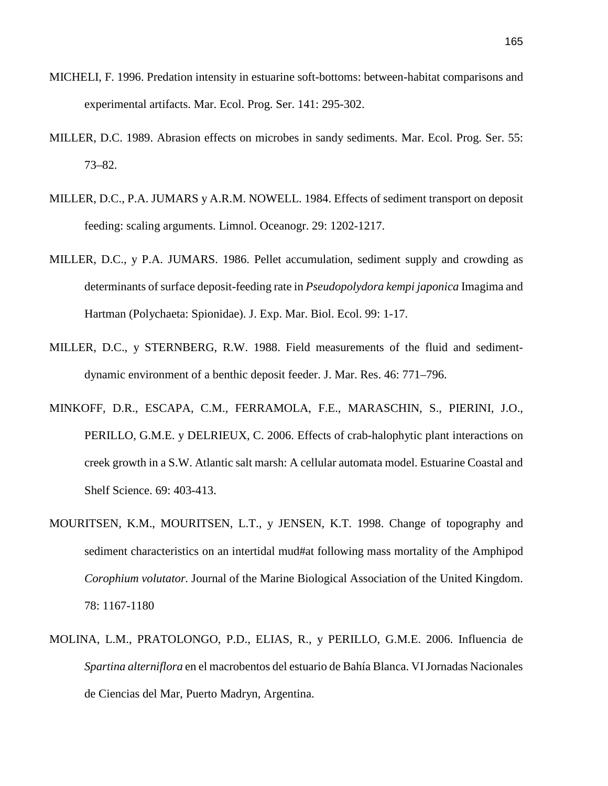- MICHELI, F. 1996. Predation intensity in estuarine soft-bottoms: between-habitat comparisons and experimental artifacts. Mar. Ecol. Prog. Ser. 141: 295-302.
- MILLER, D.C. 1989. Abrasion effects on microbes in sandy sediments. Mar. Ecol. Prog. Ser. 55: 73–82.
- MILLER, D.C., P.A. JUMARS y A.R.M. NOWELL. 1984. Effects of sediment transport on deposit feeding: scaling arguments. Limnol. Oceanogr. 29: 1202-1217.
- MILLER, D.C., y P.A. JUMARS. 1986. Pellet accumulation, sediment supply and crowding as determinants of surface deposit-feeding rate in *Pseudopolydora kempi japonica* Imagima and Hartman (Polychaeta: Spionidae). J. Exp. Mar. Biol. Ecol. 99: 1-17.
- MILLER, D.C., y STERNBERG, R.W. 1988. Field measurements of the fluid and sedimentdynamic environment of a benthic deposit feeder. J. Mar. Res. 46: 771–796.
- MINKOFF, D.R., ESCAPA, C.M., FERRAMOLA, F.E., MARASCHIN, S., PIERINI, J.O., PERILLO, G.M.E. y DELRIEUX, C. 2006. Effects of crab-halophytic plant interactions on creek growth in a S.W. Atlantic salt marsh: A cellular automata model. Estuarine Coastal and Shelf Science. 69: 403-413.
- MOURITSEN, K.M., MOURITSEN, L.T., y JENSEN, K.T. 1998. Change of topography and sediment characteristics on an intertidal mud#at following mass mortality of the Amphipod *Corophium volutator.* Journal of the Marine Biological Association of the United Kingdom. 78: 1167-1180
- MOLINA, L.M., PRATOLONGO, P.D., ELIAS, R., y PERILLO, G.M.E. 2006. Influencia de *Spartina alterniflora* en el macrobentos del estuario de Bahía Blanca. VI Jornadas Nacionales de Ciencias del Mar, Puerto Madryn, Argentina.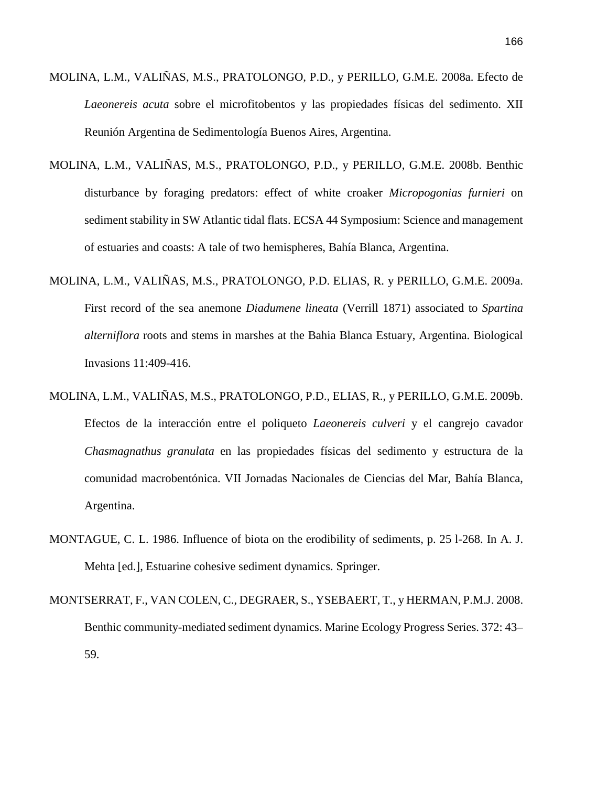- MOLINA, L.M., VALIÑAS, M.S., PRATOLONGO, P.D., y PERILLO, G.M.E. 2008a. Efecto de *Laeonereis acuta* sobre el microfitobentos y las propiedades físicas del sedimento. XII Reunión Argentina de Sedimentología Buenos Aires, Argentina.
- MOLINA, L.M., VALIÑAS, M.S., PRATOLONGO, P.D., y PERILLO, G.M.E. 2008b. Benthic disturbance by foraging predators: effect of white croaker *Micropogonias furnieri* on sediment stability in SW Atlantic tidal flats. ECSA 44 Symposium: Science and management of estuaries and coasts: A tale of two hemispheres, Bahía Blanca, Argentina.
- MOLINA, L.M., VALIÑAS, M.S., PRATOLONGO, P.D. ELIAS, R. y PERILLO, G.M.E. 2009a. First record of the sea anemone *Diadumene lineata* (Verrill 1871) associated to *Spartina alterniflora* roots and stems in marshes at the Bahia Blanca Estuary, Argentina. Biological Invasions 11:409-416.
- MOLINA, L.M., VALIÑAS, M.S., PRATOLONGO, P.D., ELIAS, R., y PERILLO, G.M.E. 2009b. Efectos de la interacción entre el poliqueto *Laeonereis culveri* y el cangrejo cavador *Chasmagnathus granulata* en las propiedades físicas del sedimento y estructura de la comunidad macrobentónica. VII Jornadas Nacionales de Ciencias del Mar, Bahía Blanca, Argentina.
- MONTAGUE, C. L. 1986. Influence of biota on the erodibility of sediments, p. 25 l-268. In A. J. Mehta [ed.], Estuarine cohesive sediment dynamics. Springer.
- MONTSERRAT, F., VAN COLEN, C., DEGRAER, S., YSEBAERT, T., y HERMAN, P.M.J. 2008. Benthic community-mediated sediment dynamics. Marine Ecology Progress Series. 372: 43– 59.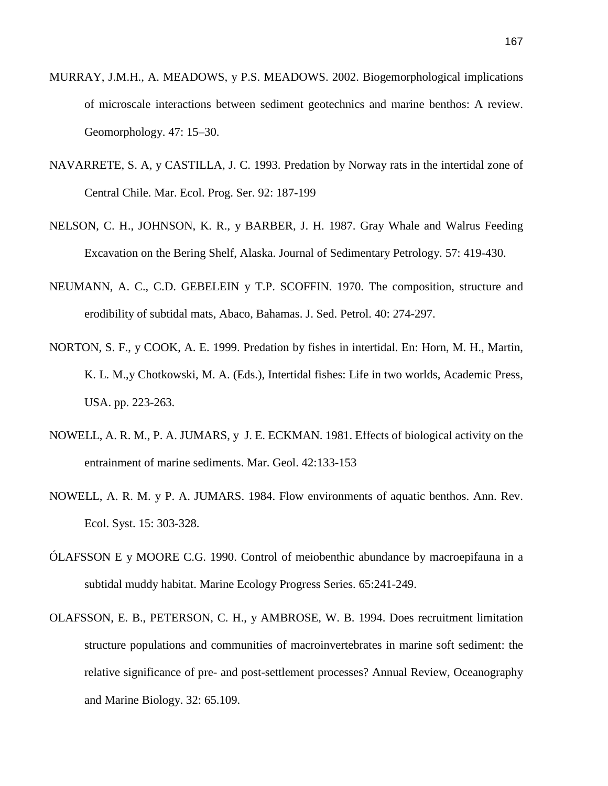- MURRAY, J.M.H., A. MEADOWS, y P.S. MEADOWS. 2002. Biogemorphological implications of microscale interactions between sediment geotechnics and marine benthos: A review. Geomorphology. 47: 15–30.
- NAVARRETE, S. A, y CASTILLA, J. C. 1993. Predation by Norway rats in the intertidal zone of Central Chile. Mar. Ecol. Prog. Ser. 92: 187-199
- NELSON, C. H., JOHNSON, K. R., y BARBER, J. H. 1987. Gray Whale and Walrus Feeding Excavation on the Bering Shelf, Alaska. Journal of Sedimentary Petrology. 57: 419-430.
- NEUMANN, A. C., C.D. GEBELEIN y T.P. SCOFFIN. 1970. The composition, structure and erodibility of subtidal mats, Abaco, Bahamas. J. Sed. Petrol. 40: 274-297.
- NORTON, S. F., y COOK, A. E. 1999. Predation by fishes in intertidal. En: Horn, M. H., Martin, K. L. M.,y Chotkowski, M. A. (Eds.), Intertidal fishes: Life in two worlds, Academic Press, USA. pp. 223-263.
- NOWELL, A. R. M., P. A. JUMARS, y J. E. ECKMAN. 1981. Effects of biological activity on the entrainment of marine sediments. Mar. Geol. 42:133-153
- NOWELL, A. R. M. y P. A. JUMARS. 1984. Flow environments of aquatic benthos. Ann. Rev. Ecol. Syst. 15: 303-328.
- ÓLAFSSON E y MOORE C.G. 1990. Control of meiobenthic abundance by macroepifauna in a subtidal muddy habitat. Marine Ecology Progress Series. 65:241-249.
- OLAFSSON, E. B., PETERSON, C. H., y AMBROSE, W. B. 1994. Does recruitment limitation structure populations and communities of macroinvertebrates in marine soft sediment: the relative significance of pre- and post-settlement processes? Annual Review, Oceanography and Marine Biology. 32: 65.109.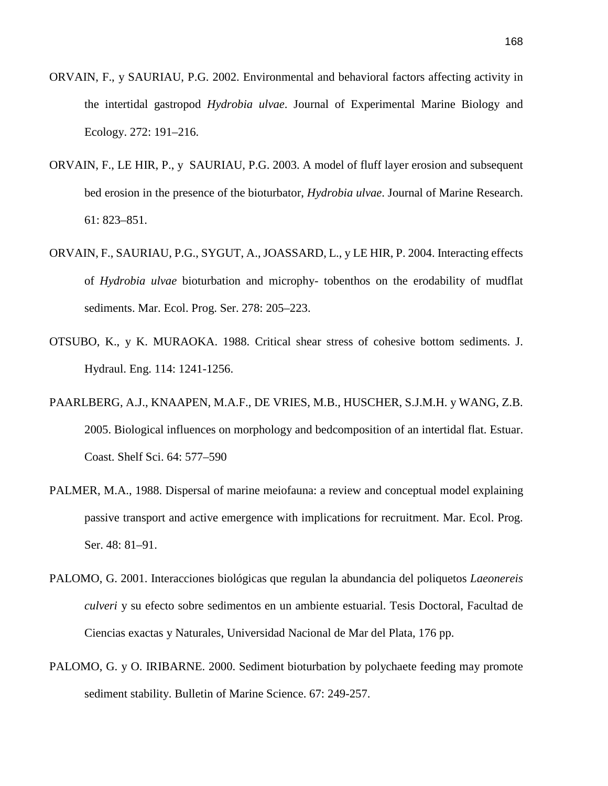- ORVAIN, F., y SAURIAU, P.G. 2002. Environmental and behavioral factors affecting activity in the intertidal gastropod *Hydrobia ulvae*. Journal of Experimental Marine Biology and Ecology. 272: 191–216.
- ORVAIN, F., LE HIR, P., y SAURIAU, P.G. 2003. A model of fluff layer erosion and subsequent bed erosion in the presence of the bioturbator, *Hydrobia ulvae*. Journal of Marine Research. 61: 823–851.
- ORVAIN, F., SAURIAU, P.G., SYGUT, A., JOASSARD, L., y LE HIR, P. 2004. Interacting effects of *Hydrobia ulvae* bioturbation and microphy- tobenthos on the erodability of mudflat sediments. Mar. Ecol. Prog. Ser. 278: 205–223.
- OTSUBO, K., y K. MURAOKA. 1988. Critical shear stress of cohesive bottom sediments. J. Hydraul. Eng. 114: 1241-1256.
- PAARLBERG, A.J., KNAAPEN, M.A.F., DE VRIES, M.B., HUSCHER, S.J.M.H. y WANG, Z.B. 2005. Biological influences on morphology and bedcomposition of an intertidal flat. Estuar. Coast. Shelf Sci. 64: 577–590
- PALMER, M.A., 1988. Dispersal of marine meiofauna: a review and conceptual model explaining passive transport and active emergence with implications for recruitment. Mar. Ecol. Prog. Ser. 48: 81–91.
- PALOMO, G. 2001. Interacciones biológicas que regulan la abundancia del poliquetos *Laeonereis culveri* y su efecto sobre sedimentos en un ambiente estuarial. Tesis Doctoral, Facultad de Ciencias exactas y Naturales, Universidad Nacional de Mar del Plata, 176 pp.
- PALOMO, G. y O. IRIBARNE. 2000. Sediment bioturbation by polychaete feeding may promote sediment stability. Bulletin of Marine Science. 67: 249-257.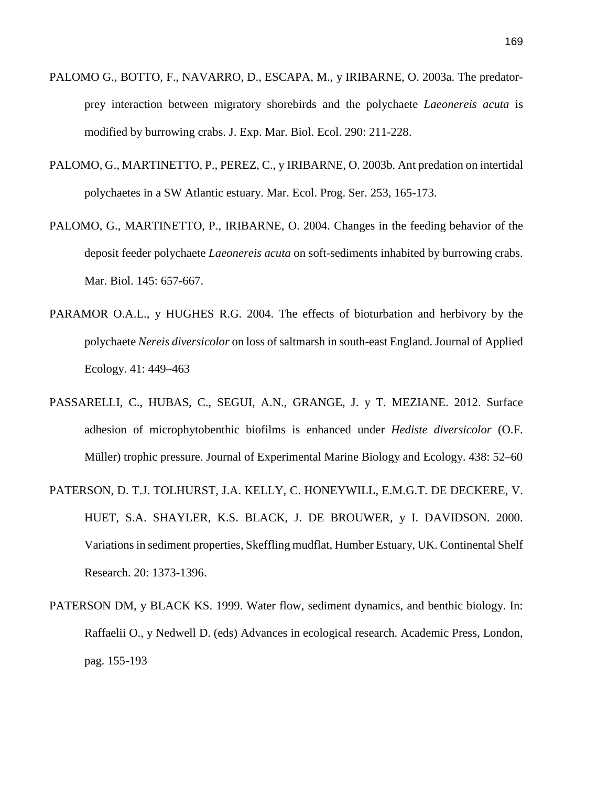- PALOMO G., BOTTO, F., NAVARRO, D., ESCAPA, M., y IRIBARNE, O. 2003a. The predatorprey interaction between migratory shorebirds and the polychaete *Laeonereis acuta* is modified by burrowing crabs. J. Exp. Mar. Biol. Ecol. 290: 211-228.
- PALOMO, G., MARTINETTO, P., PEREZ, C., y IRIBARNE, O. 2003b. Ant predation on intertidal polychaetes in a SW Atlantic estuary. Mar. Ecol. Prog. Ser. 253, 165-173.
- PALOMO, G., MARTINETTO, P., IRIBARNE, O. 2004. Changes in the feeding behavior of the deposit feeder polychaete *Laeonereis acuta* on soft-sediments inhabited by burrowing crabs. Mar. Biol. 145: 657-667.
- PARAMOR O.A.L., y HUGHES R.G. 2004. The effects of bioturbation and herbivory by the polychaete *Nereis diversicolor* on loss of saltmarsh in south-east England. Journal of Applied Ecology. 41: 449–463
- PASSARELLI, C., HUBAS, C., SEGUI, A.N., GRANGE, J. y T. MEZIANE. 2012. Surface adhesion of microphytobenthic biofilms is enhanced under *Hediste diversicolor* (O.F. Müller) trophic pressure. Journal of Experimental Marine Biology and Ecology. 438: 52–60
- PATERSON, D. T.J. TOLHURST, J.A. KELLY, C. HONEYWILL, E.M.G.T. DE DECKERE, V. HUET, S.A. SHAYLER, K.S. BLACK, J. DE BROUWER, y I. DAVIDSON. 2000. Variations in sediment properties, Skeffling mudflat, Humber Estuary, UK. Continental Shelf Research. 20: 1373-1396.
- PATERSON DM, y BLACK KS. 1999. Water flow, sediment dynamics, and benthic biology. In: Raffaelii O., y Nedwell D. (eds) Advances in ecological research. Academic Press, London, pag. 155-193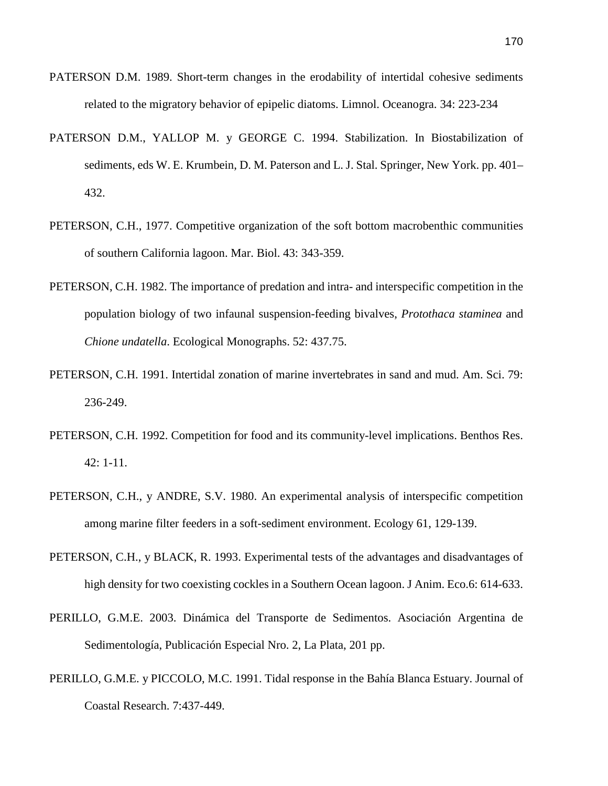- PATERSON D.M. 1989. Short-term changes in the erodability of intertidal cohesive sediments related to the migratory behavior of epipelic diatoms. Limnol. Oceanogra. 34: 223-234
- PATERSON D.M., YALLOP M. y GEORGE C. 1994. Stabilization. In Biostabilization of sediments, eds W. E. Krumbein, D. M. Paterson and L. J. Stal. Springer, New York. pp. 401– 432.
- PETERSON, C.H., 1977. Competitive organization of the soft bottom macrobenthic communities of southern California lagoon. Mar. Biol. 43: 343-359.
- PETERSON, C.H. 1982. The importance of predation and intra- and interspecific competition in the population biology of two infaunal suspension-feeding bivalves, *Protothaca staminea* and *Chione undatella*. Ecological Monographs. 52: 437.75.
- PETERSON, C.H. 1991. Intertidal zonation of marine invertebrates in sand and mud. Am. Sci. 79: 236-249.
- PETERSON, C.H. 1992. Competition for food and its community-level implications. Benthos Res. 42: 1-11.
- PETERSON, C.H., y ANDRE, S.V. 1980. An experimental analysis of interspecific competition among marine filter feeders in a soft-sediment environment. Ecology 61, 129-139.
- PETERSON, C.H., y BLACK, R. 1993. Experimental tests of the advantages and disadvantages of high density for two coexisting cockles in a Southern Ocean lagoon. J Anim. Eco.6: 614-633.
- PERILLO, G.M.E. 2003. Dinámica del Transporte de Sedimentos. Asociación Argentina de Sedimentología, Publicación Especial Nro. 2, La Plata, 201 pp.
- PERILLO, G.M.E. y PICCOLO, M.C. 1991. Tidal response in the Bahía Blanca Estuary. Journal of Coastal Research. 7:437-449.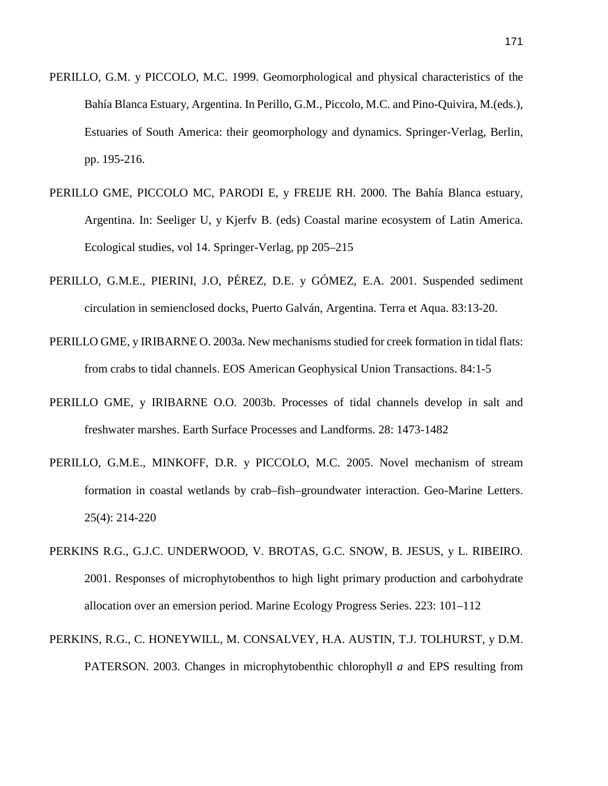- PERILLO, G.M. y PICCOLO, M.C. 1999. Geomorphological and physical characteristics of the Bahía Blanca Estuary, Argentina. In Perillo, G.M., Piccolo, M.C. and Pino-Quivira, M.(eds.), Estuaries of South America: their geomorphology and dynamics. Springer-Verlag, Berlin, pp. 195-216.
- PERILLO GME, PICCOLO MC, PARODI E, y FREIJE RH. 2000. The Bahía Blanca estuary, Argentina. In: Seeliger U, y Kjerfv B. (eds) Coastal marine ecosystem of Latin America. Ecological studies, vol 14. Springer-Verlag, pp 205–215
- PERILLO, G.M.E., PIERINI, J.O, PÉREZ, D.E. y GÓMEZ, E.A. 2001. Suspended sediment circulation in semienclosed docks, Puerto Galván, Argentina. Terra et Aqua. 83:13-20.
- PERILLO GME, y IRIBARNE O. 2003a. New mechanisms studied for creek formation in tidal flats: from crabs to tidal channels. EOS American Geophysical Union Transactions. 84:1-5
- PERILLO GME, y IRIBARNE O.O. 2003b. Processes of tidal channels develop in salt and freshwater marshes. Earth Surface Processes and Landforms. 28: 1473-1482
- PERILLO, G.M.E., MINKOFF, D.R. y PICCOLO, M.C. 2005. Novel mechanism of stream formation in coastal wetlands by crab–fish–groundwater interaction. Geo-Marine Letters. 25(4): 214-220
- PERKINS R.G., G.J.C. UNDERWOOD, V. BROTAS, G.C. SNOW, B. JESUS, y L. RIBEIRO. 2001. Responses of microphytobenthos to high light primary production and carbohydrate allocation over an emersion period. Marine Ecology Progress Series. 223: 101–112
- PERKINS, R.G., C. HONEYWILL, M. CONSALVEY, H.A. AUSTIN, T.J. TOLHURST, y D.M. PATERSON. 2003. Changes in microphytobenthic chlorophyll *a* and EPS resulting from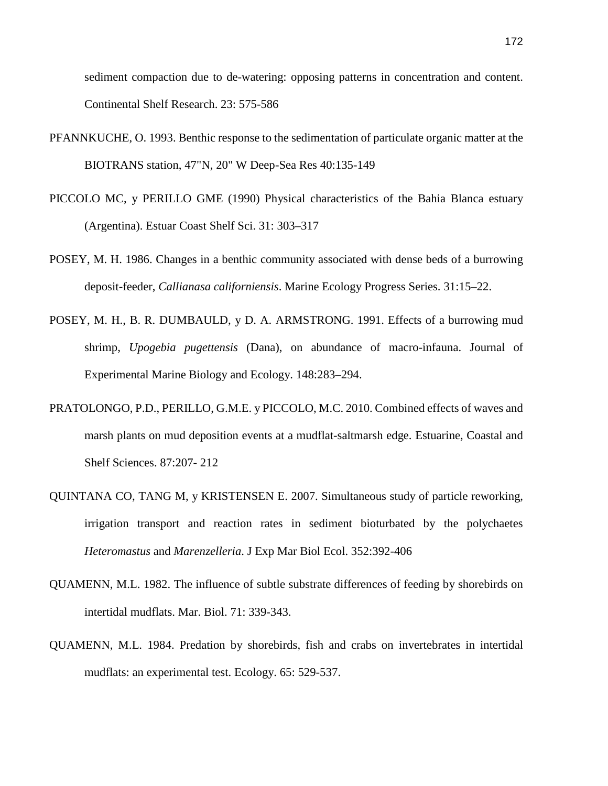sediment compaction due to de-watering: opposing patterns in concentration and content. Continental Shelf Research. 23: 575-586

- PFANNKUCHE, O. 1993. Benthic response to the sedimentation of particulate organic matter at the BIOTRANS station, 47"N, 20" W Deep-Sea Res 40:135-149
- PICCOLO MC, y PERILLO GME (1990) Physical characteristics of the Bahia Blanca estuary (Argentina). Estuar Coast Shelf Sci. 31: 303–317
- POSEY, M. H. 1986. Changes in a benthic community associated with dense beds of a burrowing deposit-feeder, *Callianasa californiensis*. Marine Ecology Progress Series. 31:15–22.
- POSEY, M. H., B. R. DUMBAULD, y D. A. ARMSTRONG. 1991. Effects of a burrowing mud shrimp, *Upogebia pugettensis* (Dana), on abundance of macro-infauna. Journal of Experimental Marine Biology and Ecology. 148:283–294.
- PRATOLONGO, P.D., PERILLO, G.M.E. y PICCOLO, M.C. 2010. Combined effects of waves and marsh plants on mud deposition events at a mudflat-saltmarsh edge. Estuarine, Coastal and Shelf Sciences. 87:207- 212
- QUINTANA CO, TANG M, y KRISTENSEN E. 2007. Simultaneous study of particle reworking, irrigation transport and reaction rates in sediment bioturbated by the polychaetes *Heteromastus* and *Marenzelleria*. J Exp Mar Biol Ecol. 352:392-406
- QUAMENN, M.L. 1982. The influence of subtle substrate differences of feeding by shorebirds on intertidal mudflats. Mar. Biol. 71: 339-343.
- QUAMENN, M.L. 1984. Predation by shorebirds, fish and crabs on invertebrates in intertidal mudflats: an experimental test. Ecology. 65: 529-537.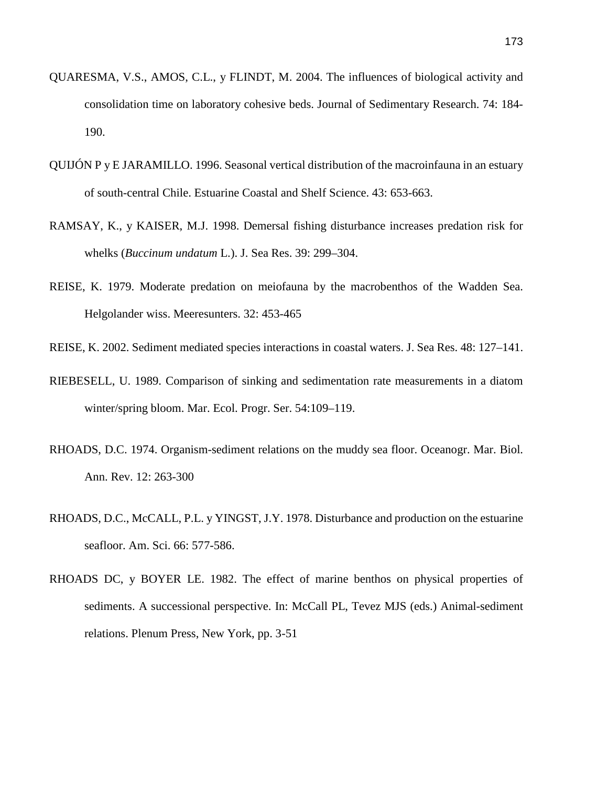- QUARESMA, V.S., AMOS, C.L., y FLINDT, M. 2004. The influences of biological activity and consolidation time on laboratory cohesive beds. Journal of Sedimentary Research. 74: 184- 190.
- QUIJÓN P y E JARAMILLO. 1996. Seasonal vertical distribution of the macroinfauna in an estuary of south-central Chile. Estuarine Coastal and Shelf Science. 43: 653-663.
- RAMSAY, K., y KAISER, M.J. 1998. Demersal fishing disturbance increases predation risk for whelks (*Buccinum undatum* L.). J. Sea Res. 39: 299–304.
- REISE, K. 1979. Moderate predation on meiofauna by the macrobenthos of the Wadden Sea. Helgolander wiss. Meeresunters. 32: 453-465
- REISE, K. 2002. Sediment mediated species interactions in coastal waters. J. Sea Res. 48: 127–141.
- RIEBESELL, U. 1989. Comparison of sinking and sedimentation rate measurements in a diatom winter/spring bloom. Mar. Ecol. Progr. Ser. 54:109–119.
- RHOADS, D.C. 1974. Organism-sediment relations on the muddy sea floor. Oceanogr. Mar. Biol. Ann. Rev. 12: 263-300
- RHOADS, D.C., McCALL, P.L. y YINGST, J.Y. 1978. Disturbance and production on the estuarine seafloor. Am. Sci. 66: 577-586.
- RHOADS DC, y BOYER LE. 1982. The effect of marine benthos on physical properties of sediments. A successional perspective. In: McCall PL, Tevez MJS (eds.) Animal-sediment relations. Plenum Press, New York, pp. 3-51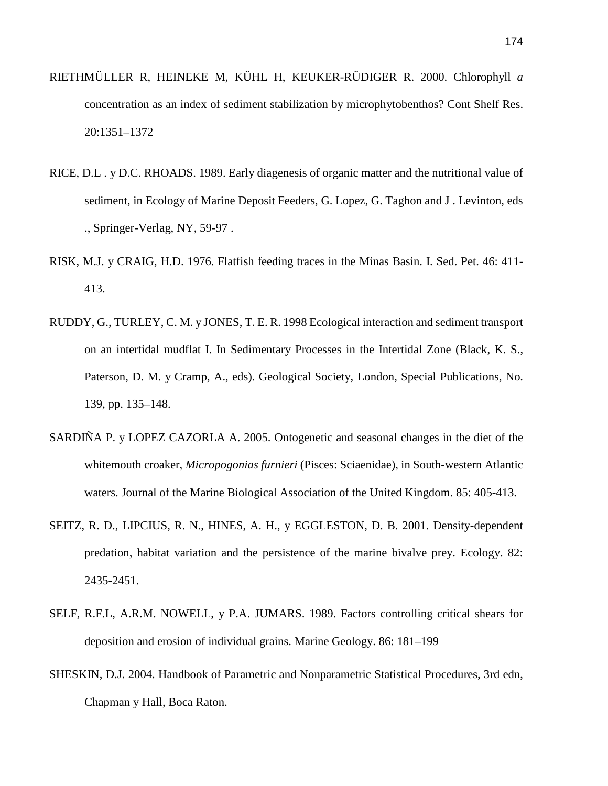- RIETHMÜLLER R, HEINEKE M, KÜHL H, KEUKER-RÜDIGER R. 2000. Chlorophyll *a* concentration as an index of sediment stabilization by microphytobenthos? Cont Shelf Res. 20:1351–1372
- RICE, D.L . y D.C. RHOADS. 1989. Early diagenesis of organic matter and the nutritional value of sediment, in Ecology of Marine Deposit Feeders, G. Lopez, G. Taghon and J . Levinton, eds ., Springer-Verlag, NY, 59-97 .
- RISK, M.J. y CRAIG, H.D. 1976. Flatfish feeding traces in the Minas Basin. I. Sed. Pet. 46: 411- 413.
- RUDDY, G., TURLEY, C. M. y JONES, T. E. R. 1998 Ecological interaction and sediment transport on an intertidal mudflat I. In Sedimentary Processes in the Intertidal Zone (Black, K. S., Paterson, D. M. y Cramp, A., eds). Geological Society, London, Special Publications, No. 139, pp. 135–148.
- SARDIÑA P. y LOPEZ CAZORLA A. 2005. Ontogenetic and seasonal changes in the diet of the whitemouth croaker, *Micropogonias furnieri* (Pisces: Sciaenidae), in South-western Atlantic waters. Journal of the Marine Biological Association of the United Kingdom. 85: 405-413.
- SEITZ, R. D., LIPCIUS, R. N., HINES, A. H., y EGGLESTON, D. B. 2001. Density-dependent predation, habitat variation and the persistence of the marine bivalve prey. Ecology. 82: 2435-2451.
- SELF, R.F.L, A.R.M. NOWELL, y P.A. JUMARS. 1989. Factors controlling critical shears for deposition and erosion of individual grains. Marine Geology. 86: 181–199
- SHESKIN, D.J. 2004. Handbook of Parametric and Nonparametric Statistical Procedures, 3rd edn, Chapman y Hall, Boca Raton.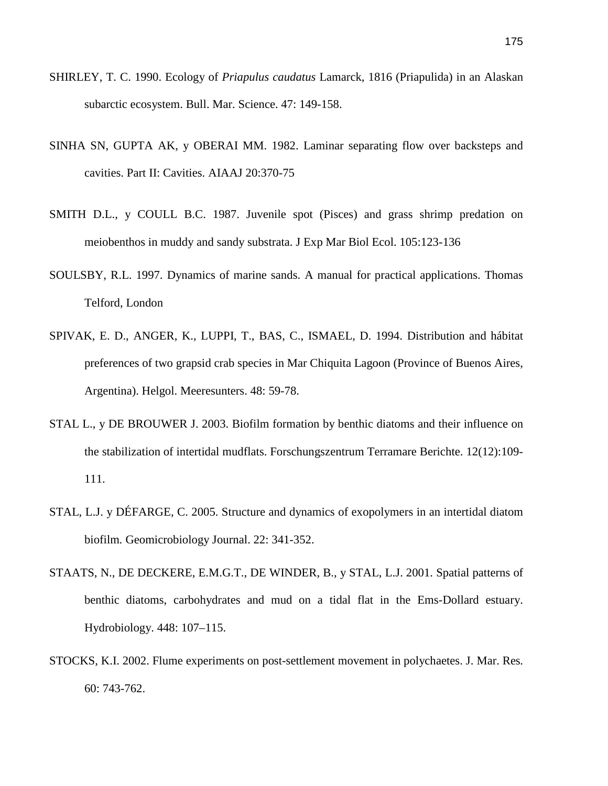- SHIRLEY, T. C. 1990. Ecology of *Priapulus caudatus* Lamarck, 1816 (Priapulida) in an Alaskan subarctic ecosystem. Bull. Mar. Science. 47: 149-158.
- SINHA SN, GUPTA AK, y OBERAI MM. 1982. Laminar separating flow over backsteps and cavities. Part II: Cavities. AIAAJ 20:370-75
- SMITH D.L., y COULL B.C. 1987. Juvenile spot (Pisces) and grass shrimp predation on meiobenthos in muddy and sandy substrata. J Exp Mar Biol Ecol. 105:123-136
- SOULSBY, R.L. 1997. Dynamics of marine sands. A manual for practical applications. Thomas Telford, London
- SPIVAK, E. D., ANGER, K., LUPPI, T., BAS, C., ISMAEL, D. 1994. Distribution and hábitat preferences of two grapsid crab species in Mar Chiquita Lagoon (Province of Buenos Aires, Argentina). Helgol. Meeresunters. 48: 59-78.
- STAL L., y DE BROUWER J. 2003. Biofilm formation by benthic diatoms and their influence on the stabilization of intertidal mudflats. Forschungszentrum Terramare Berichte. 12(12):109- 111.
- STAL, L.J. y DÉFARGE, C. 2005. Structure and dynamics of exopolymers in an intertidal diatom biofilm*.* Geomicrobiology Journal. 22: 341-352.
- STAATS, N., DE DECKERE, E.M.G.T., DE WINDER, B., y STAL, L.J. 2001. Spatial patterns of benthic diatoms, carbohydrates and mud on a tidal flat in the Ems-Dollard estuary. Hydrobiology. 448: 107–115.
- STOCKS, K.I. 2002. Flume experiments on post-settlement movement in polychaetes. J. Mar. Res. 60: 743-762.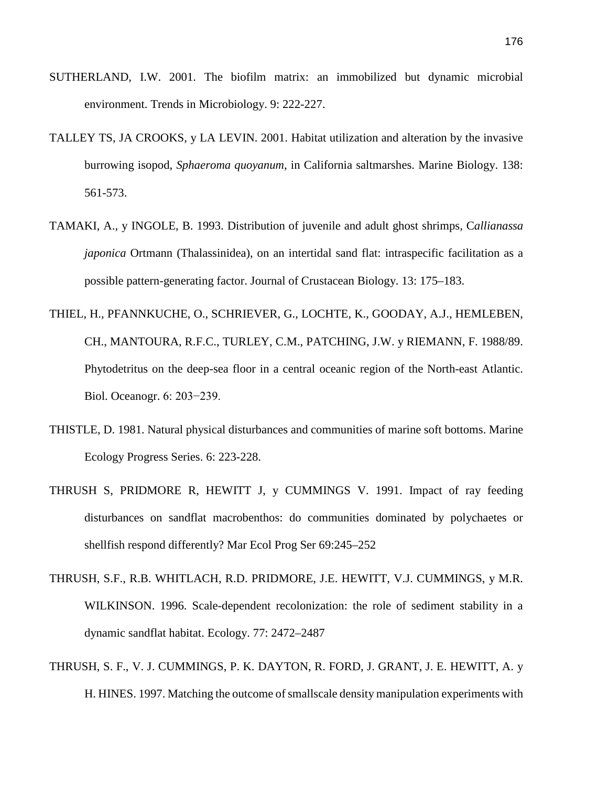- SUTHERLAND, I.W. 2001. The biofilm matrix: an immobilized but dynamic microbial environment. Trends in Microbiology. 9: 222-227.
- TALLEY TS, JA CROOKS, y LA LEVIN. 2001. Habitat utilization and alteration by the invasive burrowing isopod, *Sphaeroma quoyanum*, in California saltmarshes. Marine Biology. 138: 561-573.
- TAMAKI, A., y INGOLE, B. 1993. Distribution of juvenile and adult ghost shrimps, C*allianassa japonica* Ortmann (Thalassinidea), on an intertidal sand flat: intraspecific facilitation as a possible pattern-generating factor. Journal of Crustacean Biology. 13: 175–183.
- THIEL, H., PFANNKUCHE, O., SCHRIEVER, G., LOCHTE, K., GOODAY, A.J., HEMLEBEN, CH., MANTOURA, R.F.C., TURLEY, C.M., PATCHING, J.W. y RIEMANN, F. 1988/89. Phytodetritus on the deep-sea floor in a central oceanic region of the North-east Atlantic. Biol. Oceanogr. 6: 203−239.
- THISTLE, D. 1981. Natural physical disturbances and communities of marine soft bottoms. Marine Ecology Progress Series. 6: 223-228.
- THRUSH S, PRIDMORE R, HEWITT J, y CUMMINGS V. 1991. Impact of ray feeding disturbances on sandflat macrobenthos: do communities dominated by polychaetes or shellfish respond differently? Mar Ecol Prog Ser 69:245–252
- THRUSH, [S.F., R.B. WHITLACH, R.D. PRIDMORE, J.E. HEWITT, V.J. CUMMINGS, y M.R.](http://www.sciencedirect.com/science/article/pii/S0022098106001353%23bib36)  [WILKINSON. 1996.](http://www.sciencedirect.com/science/article/pii/S0022098106001353%23bib36) Scale-dependent recolonization: the role of sediment stability in a dynamic sandflat habitat. Ecology. 77: 2472–2487
- THRUSH, S. F., V. J. CUMMINGS, P. K. DAYTON, R. FORD, J. GRANT, J. E. HEWITT, A. y H. HINES. 1997. Matching the outcome ofsmallscale density manipulation experiments with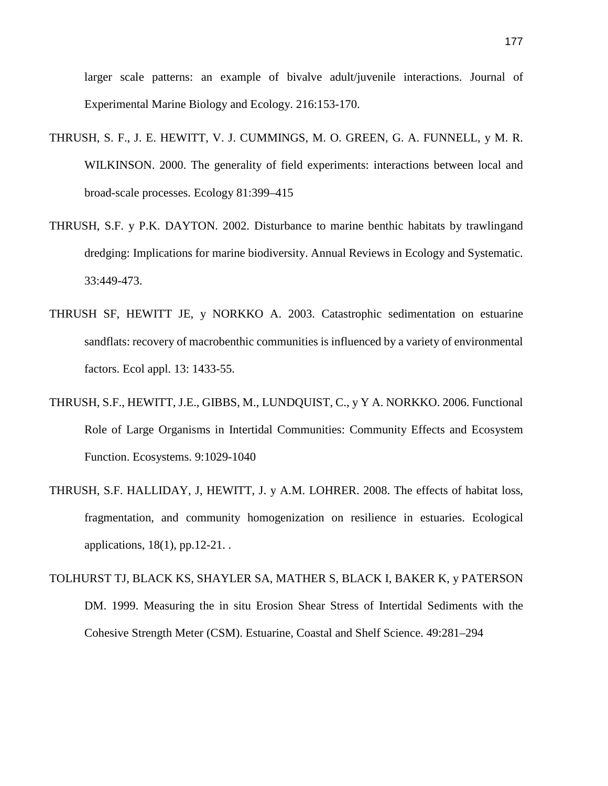larger scale patterns: an example of bivalve adult/juvenile interactions. Journal of Experimental Marine Biology and Ecology. 216:153-170.

- THRUSH, S. F., J. E. HEWITT, V. J. CUMMINGS, M. O. GREEN, G. A. FUNNELL, y M. R. WILKINSON. 2000. The generality of field experiments: interactions between local and broad-scale processes. Ecology 81:399–415
- THRUSH, S.F. y P.K. DAYTON. 2002. Disturbance to marine benthic habitats by trawlingand dredging: Implications for marine biodiversity. Annual Reviews in Ecology and Systematic. 33:449-473.
- THRUSH SF, HEWITT JE, y NORKKO A. 2003. Catastrophic sedimentation on estuarine sandflats: recovery of macrobenthic communities is influenced by a variety of environmental factors. Ecol appl. 13: 1433-55.
- THRUSH, S.F., HEWITT, J.E., GIBBS, M., LUNDQUIST, C., y Y A. [NORKKO.](http://link.springer.com/search?facet-author=%22Alf+Norkko%22) 2006. Functional Role of Large Organisms in Intertidal Communities: Community Effects and Ecosystem Function. [Ecosystems.](http://link.springer.com/journal/10021) 9:1029-1040
- THRUSH, S.F. HALLIDAY, J, HEWITT, J. y A.M. LOHRER. 2008. The effects of habitat loss, fragmentation, and community homogenization on resilience in estuaries. Ecological applications, 18(1), pp.12-21. .
- TOLHURST TJ, BLACK KS, SHAYLER SA, MATHER S, BLACK I, BAKER K, y PATERSON DM. 1999. Measuring the in situ Erosion Shear Stress of Intertidal Sediments with the Cohesive Strength Meter (CSM). Estuarine, Coastal and Shelf Science. 49:281–294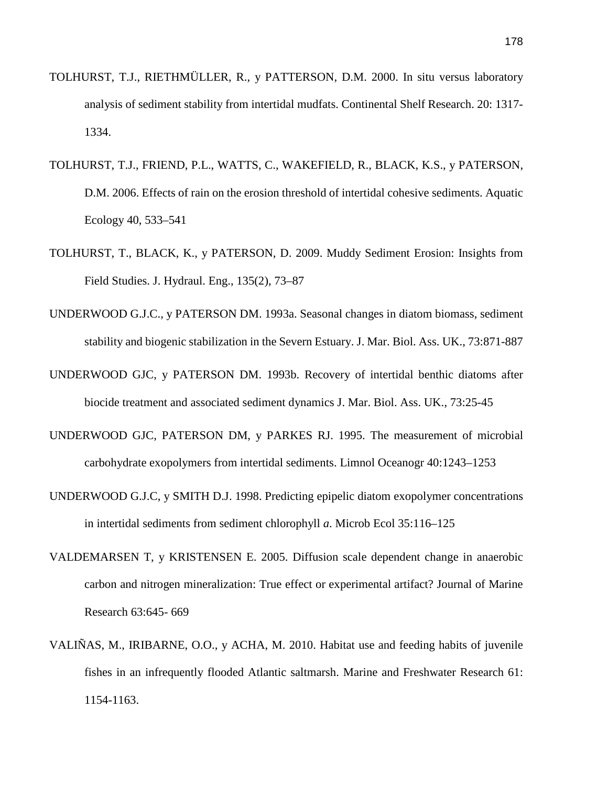- TOLHURST, T.J., RIETHMÜLLER, R., y PATTERSON, D.M. 2000. In situ versus laboratory analysis of sediment stability from intertidal mudfats. Continental Shelf Research. 20: 1317- 1334.
- TOLHURST, T.J., FRIEND, P.L., WATTS, C., WAKEFIELD, R., BLACK, K.S., y PATERSON, D.M. 2006. Effects of rain on the erosion threshold of intertidal cohesive sediments. Aquatic Ecology 40, 533–541
- TOLHURST, T., BLACK, K., y PATERSON, D. 2009. Muddy Sediment Erosion: Insights from Field Studies. J. Hydraul. Eng., 135(2), 73–87
- UNDERWOOD G.J.C., y PATERSON DM. 1993a. Seasonal changes in diatom biomass, sediment stability and biogenic stabilization in the Severn Estuary. J. Mar. Biol. Ass. UK., 73:871-887
- UNDERWOOD GJC, y PATERSON DM. 1993b. Recovery of intertidal benthic diatoms after biocide treatment and associated sediment dynamics J. Mar. Biol. Ass. UK., 73:25-45
- UNDERWOOD GJC, PATERSON DM, y PARKES RJ. 1995. The measurement of microbial carbohydrate exopolymers from intertidal sediments. Limnol Oceanogr 40:1243–1253
- UNDERWOOD G.J.C, y SMITH D.J. 1998. Predicting epipelic diatom exopolymer concentrations in intertidal sediments from sediment chlorophyll *a*. Microb Ecol 35:116–125
- VALDEMARSEN T, y KRISTENSEN E. 2005. Diffusion scale dependent change in anaerobic carbon and nitrogen mineralization: True effect or experimental artifact? Journal of Marine Research 63:645- 669
- VALIÑAS, M., IRIBARNE, O.O., y ACHA, M. 2010. Habitat use and feeding habits of juvenile fishes in an infrequently flooded Atlantic saltmarsh. Marine and Freshwater Research 61: 1154-1163.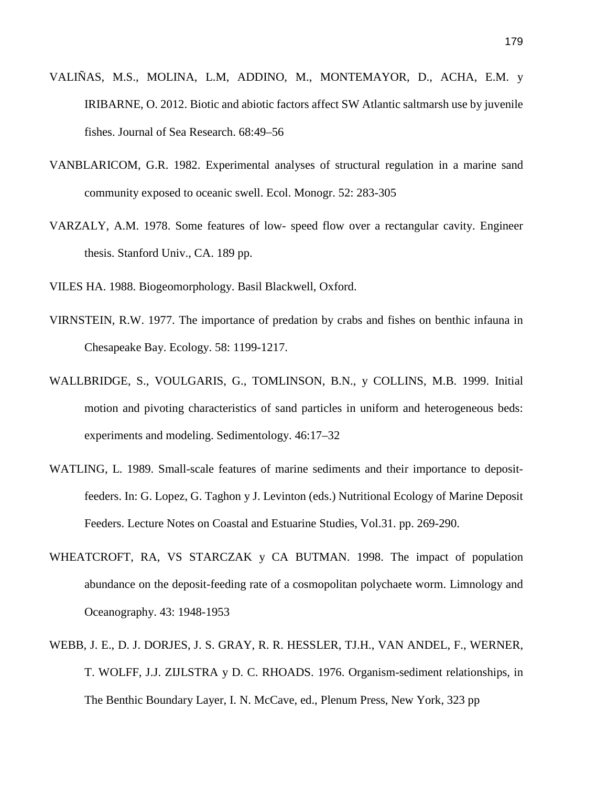- VALIÑAS, M.S., MOLINA, L.M, ADDINO, M., MONTEMAYOR, D., ACHA, E.M. y IRIBARNE, O. 2012. Biotic and abiotic factors affect SW Atlantic saltmarsh use by juvenile fishes. Journal of Sea Research. 68:49–56
- VANBLARICOM, G.R. 1982. Experimental analyses of structural regulation in a marine sand community exposed to oceanic swell. Ecol. Monogr. 52: 283-305
- VARZALY, A.M. 1978. Some features of low- speed flow over a rectangular cavity. Engineer thesis. Stanford Univ., CA. 189 pp.
- VILES HA. 1988. Biogeomorphology. Basil Blackwell, Oxford.
- VIRNSTEIN, R.W. 1977. The importance of predation by crabs and fishes on benthic infauna in Chesapeake Bay. Ecology. 58: 1199-1217.
- WALLBRIDGE, S., VOULGARIS, G., TOMLINSON, B.N., y COLLINS, M.B. 1999. Initial motion and pivoting characteristics of sand particles in uniform and heterogeneous beds: experiments and modeling. Sedimentology. 46:17–32
- WATLING, L. 1989. Small-scale features of marine sediments and their importance to depositfeeders. In: G. Lopez, G. Taghon y J. Levinton (eds.) Nutritional Ecology of Marine Deposit Feeders. Lecture Notes on Coastal and Estuarine Studies, Vol.31. pp. 269-290.
- WHEATCROFT, RA, VS STARCZAK y CA BUTMAN. 1998. The impact of population abundance on the deposit-feeding rate of a cosmopolitan polychaete worm. Limnology and Oceanography. 43: 1948-1953
- WEBB, J. E., D. J. DORJES, J. S. GRAY, R. R. HESSLER, TJ.H., VAN ANDEL, F., WERNER, T. WOLFF, J.J. ZIJLSTRA y D. C. RHOADS. 1976. Organism-sediment relationships, in The Benthic Boundary Layer, I. N. McCave, ed., Plenum Press, New York, 323 pp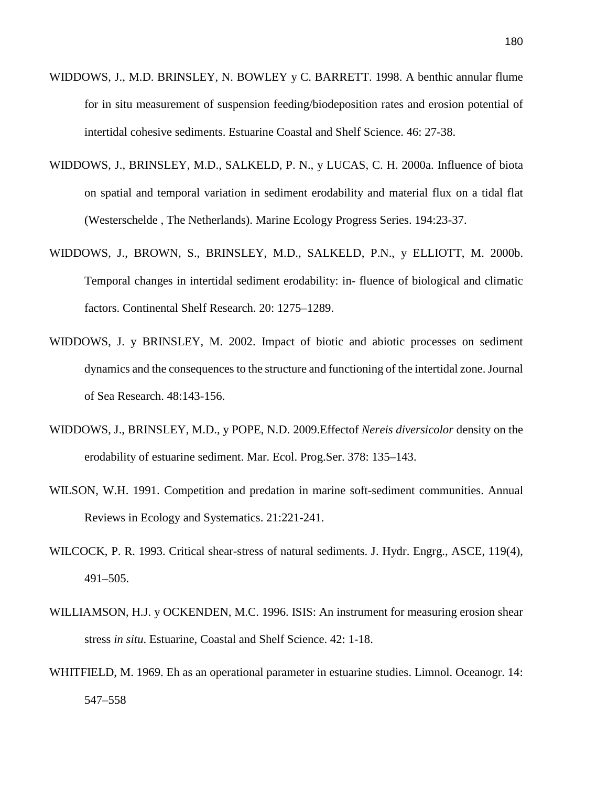- WIDDOWS, J., M.D. BRINSLEY, N. BOWLEY y C. BARRETT. 1998. A benthic annular flume for in situ measurement of suspension feeding/biodeposition rates and erosion potential of intertidal cohesive sediments. Estuarine Coastal and Shelf Science. 46: 27-38.
- WIDDOWS, J., BRINSLEY, M.D., SALKELD, P. N., y LUCAS, C. H. 2000a. Influence of biota on spatial and temporal variation in sediment erodability and material flux on a tidal flat (Westerschelde , The Netherlands). Marine Ecology Progress Series. 194:23-37.
- WIDDOWS, J., BROWN, S., BRINSLEY, M.D., SALKELD, P.N., y ELLIOTT, M. 2000b. Temporal changes in intertidal sediment erodability: in- fluence of biological and climatic factors. Continental Shelf Research. 20: 1275–1289.
- WIDDOWS, J. y BRINSLEY, M. 2002. Impact of biotic and abiotic processes on sediment dynamics and the consequences to the structure and functioning of the intertidal zone. Journal of Sea Research. 48:143-156.
- WIDDOWS, J., BRINSLEY, M.D., y POPE, N.D. 2009.Effectof *Nereis diversicolor* density on the erodability of estuarine sediment. Mar. Ecol. Prog.Ser. 378: 135–143.
- WILSON, W.H. 1991. Competition and predation in marine soft-sediment communities. Annual Reviews in Ecology and Systematics. 21:221-241.
- WILCOCK, P. R. 1993. Critical shear-stress of natural sediments. J. Hydr. Engrg., ASCE, 119(4), 491–505.
- WILLIAMSON, H.J. y OCKENDEN, M.C. 1996. ISIS: An instrument for measuring erosion shear stress *in situ*. Estuarine, Coastal and Shelf Science. 42: 1-18.
- WHITFIELD, M. 1969. Eh as an operational parameter in estuarine studies. Limnol. Oceanogr. 14: 547–558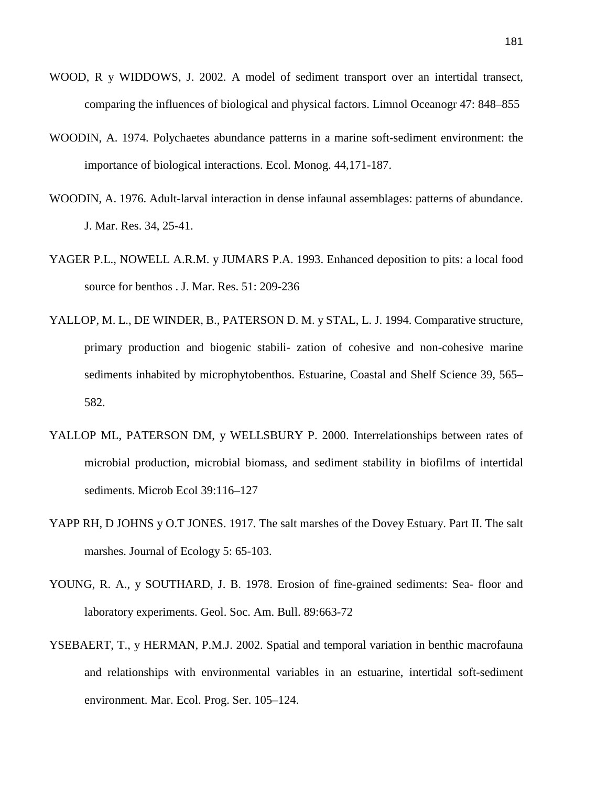- WOOD, R y WIDDOWS, J. 2002. A model of sediment transport over an intertidal transect, comparing the influences of biological and physical factors. Limnol Oceanogr 47: 848–855
- WOODIN, A. 1974. Polychaetes abundance patterns in a marine soft-sediment environment: the importance of biological interactions. Ecol. Monog. 44,171-187.
- WOODIN, A. 1976. Adult-larval interaction in dense infaunal assemblages: patterns of abundance. J. Mar. Res. 34, 25-41.
- YAGER P.L., NOWELL A.R.M. y JUMARS P.A. 1993. Enhanced deposition to pits: a local food source for benthos . J. Mar. Res. 51: 209-236
- YALLOP, M. L., DE WINDER, B., PATERSON D. M. y STAL, L. J. 1994. Comparative structure, primary production and biogenic stabili- zation of cohesive and non-cohesive marine sediments inhabited by microphytobenthos. Estuarine, Coastal and Shelf Science 39, 565– 582.
- YALLOP ML, PATERSON DM, y WELLSBURY P. 2000. Interrelationships between rates of microbial production, microbial biomass, and sediment stability in biofilms of intertidal sediments. Microb Ecol 39:116–127
- YAPP RH, D JOHNS y O.T JONES. 1917. The salt marshes of the Dovey Estuary. Part II. The salt marshes. Journal of Ecology 5: 65-103.
- YOUNG, R. A., y SOUTHARD, J. B. 1978. Erosion of fine-grained sediments: Sea- floor and laboratory experiments. Geol. Soc. Am. Bull. 89:663-72
- YSEBAERT, T., y HERMAN, P.M.J. 2002. Spatial and temporal variation in benthic macrofauna and relationships with environmental variables in an estuarine, intertidal soft-sediment environment. Mar. Ecol. Prog. Ser. 105–124.